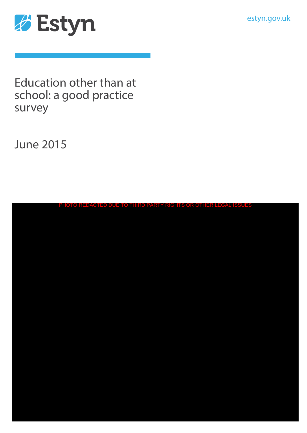estyn.gov.uk



Education other than at school: a good practice survey

June 2015

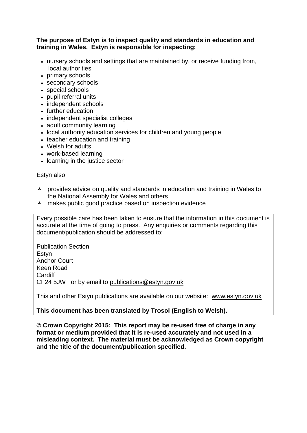#### **The purpose of Estyn is to inspect quality and standards in education and training in Wales. Estyn is responsible for inspecting:**

- nursery schools and settings that are maintained by, or receive funding from, local authorities
- primary schools
- secondary schools
- special schools
- pupil referral units
- independent schools
- further education
- independent specialist colleges
- adult community learning
- local authority education services for children and young people
- teacher education and training
- Welsh for adults
- work-based learning
- learning in the justice sector

#### Estyn also:

- A provides advice on quality and standards in education and training in Wales to the National Assembly for Wales and others
- A makes public good practice based on inspection evidence

Every possible care has been taken to ensure that the information in this document is accurate at the time of going to press. Any enquiries or comments regarding this document/publication should be addressed to:

Publication Section Estyn Anchor Court Keen Road Cardiff CF24 5JW or by email to [publications@estyn.gov.uk](mailto:publications@estyn.gsi.gov.uk)

This and other Estyn publications are available on our website: [www.estyn.gov.uk](http://www.estyn.gov.uk/)

### **This document has been translated by Trosol (English to Welsh).**

**© Crown Copyright 2015: This report may be re-used free of charge in any format or medium provided that it is re-used accurately and not used in a misleading context. The material must be acknowledged as Crown copyright and the title of the document/publication specified.**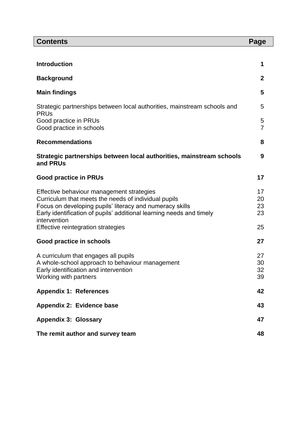| <b>Contents</b>                                                                                                                  | Page                |
|----------------------------------------------------------------------------------------------------------------------------------|---------------------|
|                                                                                                                                  |                     |
| <b>Introduction</b>                                                                                                              | 1                   |
| <b>Background</b>                                                                                                                | $\mathbf{2}$        |
| <b>Main findings</b>                                                                                                             | 5                   |
| Strategic partnerships between local authorities, mainstream schools and<br><b>PRUs</b>                                          | 5                   |
| Good practice in PRUs<br>Good practice in schools                                                                                | 5<br>$\overline{7}$ |
| <b>Recommendations</b>                                                                                                           | 8                   |
| Strategic partnerships between local authorities, mainstream schools<br>and PRUs                                                 | 9                   |
| <b>Good practice in PRUs</b>                                                                                                     | 17                  |
| Effective behaviour management strategies                                                                                        | 17                  |
| Curriculum that meets the needs of individual pupils                                                                             | 20                  |
| Focus on developing pupils' literacy and numeracy skills<br>Early identification of pupils' additional learning needs and timely | 23<br>23            |
| intervention<br>Effective reintegration strategies                                                                               | 25                  |
| Good practice in schools                                                                                                         | 27                  |
| A curriculum that engages all pupils                                                                                             | 27                  |
| A whole-school approach to behaviour management                                                                                  | 30                  |
| Early identification and intervention<br>Working with partners                                                                   | 32<br>39            |
| <b>Appendix 1: References</b>                                                                                                    | 42                  |
| Appendix 2: Evidence base                                                                                                        | 43                  |
| <b>Appendix 3: Glossary</b>                                                                                                      | 47                  |
| The remit author and survey team                                                                                                 |                     |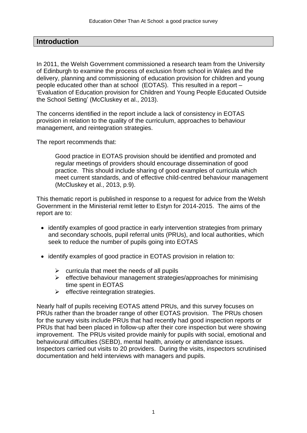### **Introduction**

In 2011, the Welsh Government commissioned a research team from the University of Edinburgh to examine the process of exclusion from school in Wales and the delivery, planning and commissioning of education provision for children and young people educated other than at school (EOTAS). This resulted in a report – 'Evaluation of Education provision for Children and Young People Educated Outside the School Setting' (McCluskey et al., 2013).

The concerns identified in the report include a lack of consistency in EOTAS provision in relation to the quality of the curriculum, approaches to behaviour management, and reintegration strategies.

The report recommends that:

Good practice in EOTAS provision should be identified and promoted and regular meetings of providers should encourage dissemination of good practice. This should include sharing of good examples of curricula which meet current standards, and of effective child-centred behaviour management (McCluskey et al., 2013, p.9).

This thematic report is published in response to a request for advice from the Welsh Government in the Ministerial remit letter to Estyn for 2014-2015. The aims of the report are to:

- identify examples of good practice in early intervention strategies from primary and secondary schools, pupil referral units (PRUs), and local authorities, which seek to reduce the number of pupils going into EOTAS
- identify examples of good practice in EOTAS provision in relation to:
	- $\triangleright$  curricula that meet the needs of all pupils
	- $\triangleright$  effective behaviour management strategies/approaches for minimising time spent in EOTAS
	- $\triangleright$  effective reintegration strategies.

Nearly half of pupils receiving EOTAS attend PRUs, and this survey focuses on PRUs rather than the broader range of other EOTAS provision. The PRUs chosen for the survey visits include PRUs that had recently had good inspection reports or PRUs that had been placed in follow-up after their core inspection but were showing improvement. The PRUs visited provide mainly for pupils with social, emotional and behavioural difficulties (SEBD), mental health, anxiety or attendance issues. Inspectors carried out visits to 20 providers. During the visits, inspectors scrutinised documentation and held interviews with managers and pupils.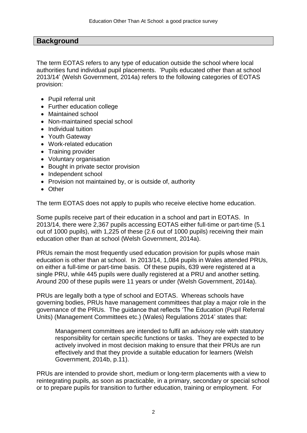### **Background**

The term EOTAS refers to any type of education outside the school where local authorities fund individual pupil placements. 'Pupils educated other than at school 2013/14' (Welsh Government, 2014a) refers to the following categories of EOTAS provision:

- Pupil referral unit
- Further education college
- Maintained school
- Non-maintained special school
- Individual tuition
- Youth Gateway
- Work-related education
- Training provider
- Voluntary organisation
- Bought in private sector provision
- Independent school
- Provision not maintained by, or is outside of, authority
- Other

The term EOTAS does not apply to pupils who receive elective home education.

Some pupils receive part of their education in a school and part in EOTAS. In 2013/14, there were 2,367 pupils accessing EOTAS either full-time or part-time (5.1 out of 1000 pupils), with 1,225 of these (2.6 out of 1000 pupils) receiving their main education other than at school (Welsh Government, 2014a).

PRUs remain the most frequently used education provision for pupils whose main education is other than at school. In 2013/14, 1,084 pupils in Wales attended PRUs, on either a full-time or part-time basis. Of these pupils, 639 were registered at a single PRU, while 445 pupils were dually registered at a PRU and another setting. Around 200 of these pupils were 11 years or under (Welsh Government, 2014a).

PRUs are legally both a type of school and EOTAS. Whereas schools have governing bodies, PRUs have management committees that play a major role in the governance of the PRUs. The guidance that reflects 'The Education (Pupil Referral Units) (Management Committees etc.) (Wales) Regulations 2014' states that:

Management committees are intended to fulfil an advisory role with statutory responsibility for certain specific functions or tasks. They are expected to be actively involved in most decision making to ensure that their PRUs are run effectively and that they provide a suitable education for learners (Welsh Government, 2014b, p.11).

PRUs are intended to provide short, medium or long-term placements with a view to reintegrating pupils, as soon as practicable, in a primary, secondary or special school or to prepare pupils for transition to further education, training or employment. For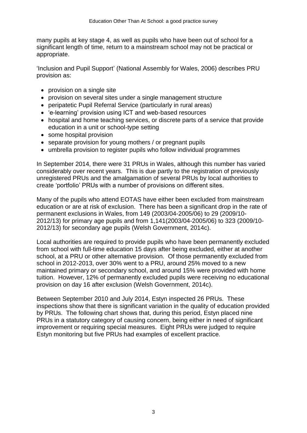many pupils at key stage 4, as well as pupils who have been out of school for a significant length of time, return to a mainstream school may not be practical or appropriate.

'Inclusion and Pupil Support' (National Assembly for Wales, 2006) describes PRU provision as:

- provision on a single site
- provision on several sites under a single management structure
- peripatetic Pupil Referral Service (particularly in rural areas)
- 'e-learning' provision using ICT and web-based resources
- hospital and home teaching services, or discrete parts of a service that provide education in a unit or school-type setting
- some hospital provision
- separate provision for young mothers / or pregnant pupils
- umbrella provision to register pupils who follow individual programmes

In September 2014, there were 31 PRUs in Wales, although this number has varied considerably over recent years. This is due partly to the registration of previously unregistered PRUs and the amalgamation of several PRUs by local authorities to create 'portfolio' PRUs with a number of provisions on different sites.

Many of the pupils who attend EOTAS have either been excluded from mainstream education or are at risk of exclusion. There has been a significant drop in the rate of permanent exclusions in Wales, from 149 (2003/04-2005/06) to 29 (2009/10- 2012/13) for primary age pupils and from 1,141(2003/04-2005/06) to 323 (2009/10- 2012/13) for secondary age pupils (Welsh Government, 2014c).

Local authorities are required to provide pupils who have been permanently excluded from school with full-time education 15 days after being excluded, either at another school, at a PRU or other alternative provision. Of those permanently excluded from school in 2012-2013, over 30% went to a PRU, around 25% moved to a new maintained primary or secondary school, and around 15% were provided with home tuition. However, 12% of permanently excluded pupils were receiving no educational provision on day 16 after exclusion (Welsh Government, 2014c).

Between September 2010 and July 2014, Estyn inspected 26 PRUs. These inspections show that there is significant variation in the quality of education provided by PRUs. The following chart shows that, during this period, Estyn placed nine PRUs in a statutory category of causing concern, being either in need of significant improvement or requiring special measures. Eight PRUs were judged to require Estyn monitoring but five PRUs had examples of excellent practice.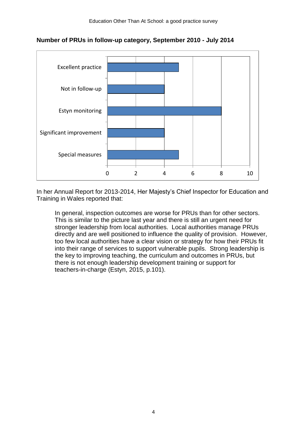

**Number of PRUs in follow-up category, September 2010 - July 2014**

In her Annual Report for 2013-2014, Her Majesty's Chief Inspector for Education and Training in Wales reported that:

In general, inspection outcomes are worse for PRUs than for other sectors. This is similar to the picture last year and there is still an urgent need for stronger leadership from local authorities. Local authorities manage PRUs directly and are well positioned to influence the quality of provision. However, too few local authorities have a clear vision or strategy for how their PRUs fit into their range of services to support vulnerable pupils. Strong leadership is the key to improving teaching, the curriculum and outcomes in PRUs, but there is not enough leadership development training or support for teachers-in-charge (Estyn, 2015, p.101).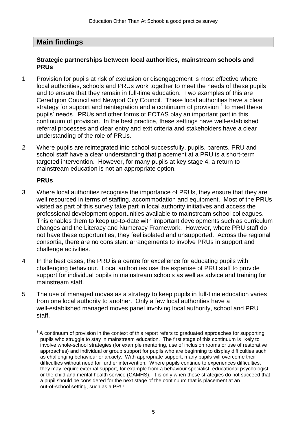## **Main findings**

#### **Strategic partnerships between local authorities, mainstream schools and PRUs**

- 1 Provision for pupils at risk of exclusion or disengagement is most effective where local authorities, schools and PRUs work together to meet the needs of these pupils and to ensure that they remain in full-time education. Two examples of this are Ceredigion Council and Newport City Council. These local authorities have a clear strategy for support and reintegration and a continuum of provision  $1$  to meet these pupils' needs. PRUs and other forms of EOTAS play an important part in this continuum of provision. In the best practice, these settings have well-established referral processes and clear entry and exit criteria and stakeholders have a clear understanding of the role of PRUs.
- 2 Where pupils are reintegrated into school successfully, pupils, parents, PRU and school staff have a clear understanding that placement at a PRU is a short-term targeted intervention. However, for many pupils at key stage 4, a return to mainstream education is not an appropriate option.

### **PRUs**

 $\overline{a}$ 

- 3 Where local authorities recognise the importance of PRUs, they ensure that they are well resourced in terms of staffing, accommodation and equipment. Most of the PRUs visited as part of this survey take part in local authority initiatives and access the professional development opportunities available to mainstream school colleagues. This enables them to keep up-to-date with important developments such as curriculum changes and the Literacy and Numeracy Framework. However, where PRU staff do not have these opportunities, they feel isolated and unsupported. Across the regional consortia, there are no consistent arrangements to involve PRUs in support and challenge activities.
- 4 In the best cases, the PRU is a centre for excellence for educating pupils with challenging behaviour. Local authorities use the expertise of PRU staff to provide support for individual pupils in mainstream schools as well as advice and training for mainstream staff.
- 5 The use of managed moves as a strategy to keep pupils in full-time education varies from one local authority to another. Only a few local authorities have a well-established managed moves panel involving local authority, school and PRU staff.

 $1$  A continuum of provision in the context of this report refers to graduated approaches for supporting pupils who struggle to stay in mainstream education. The first stage of this continuum is likely to involve whole-school strategies (for example mentoring, use of inclusion rooms or use of restorative approaches) and individual or group support for pupils who are beginning to display difficulties such as challenging behaviour or anxiety. With appropriate support, many pupils will overcome their difficulties without need for further intervention. Where pupils continue to experiences difficulties, they may require external support, for example from a behaviour specialist, educational psychologist or the child and mental health service (CAMHS). It is only when these strategies do not succeed that a pupil should be considered for the next stage of the continuum that is placement at an out-of-school setting, such as a PRU.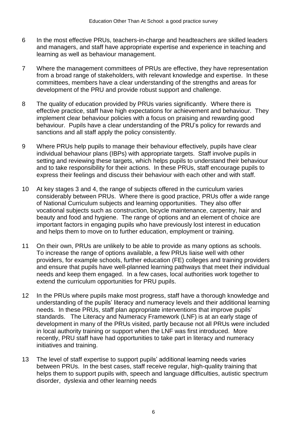- 6 In the most effective PRUs, teachers-in-charge and headteachers are skilled leaders and managers, and staff have appropriate expertise and experience in teaching and learning as well as behaviour management.
- 7 Where the management committees of PRUs are effective, they have representation from a broad range of stakeholders, with relevant knowledge and expertise. In these committees, members have a clear understanding of the strengths and areas for development of the PRU and provide robust support and challenge.
- 8 The quality of education provided by PRUs varies significantly. Where there is effective practice, staff have high expectations for achievement and behaviour. They implement clear behaviour policies with a focus on praising and rewarding good behaviour. Pupils have a clear understanding of the PRU's policy for rewards and sanctions and all staff apply the policy consistently.
- 9 Where PRUs help pupils to manage their behaviour effectively, pupils have clear individual behaviour plans (IBPs) with appropriate targets. Staff involve pupils in setting and reviewing these targets, which helps pupils to understand their behaviour and to take responsibility for their actions. In these PRUs, staff encourage pupils to express their feelings and discuss their behaviour with each other and with staff.
- 10 At key stages 3 and 4, the range of subjects offered in the curriculum varies considerably between PRUs. Where there is good practice, PRUs offer a wide range of National Curriculum subjects and learning opportunities. They also offer vocational subjects such as construction, bicycle maintenance, carpentry, hair and beauty and food and hygiene. The range of options and an element of choice are important factors in engaging pupils who have previously lost interest in education and helps them to move on to further education, employment or training.
- 11 On their own, PRUs are unlikely to be able to provide as many options as schools. To increase the range of options available, a few PRUs liaise well with other providers, for example schools, further education (FE) colleges and training providers and ensure that pupils have well-planned learning pathways that meet their individual needs and keep them engaged. In a few cases, local authorities work together to extend the curriculum opportunities for PRU pupils.
- 12 In the PRUs where pupils make most progress, staff have a thorough knowledge and understanding of the pupils' literacy and numeracy levels and their additional learning needs. In these PRUs, staff plan appropriate interventions that improve pupils' standards. The Literacy and Numeracy Framework (LNF) is at an early stage of development in many of the PRUs visited, partly because not all PRUs were included in local authority training or support when the LNF was first introduced. More recently, PRU staff have had opportunities to take part in literacy and numeracy initiatives and training.
- 13 The level of staff expertise to support pupils' additional learning needs varies between PRUs. In the best cases, staff receive regular, high-quality training that helps them to support pupils with, speech and language difficulties, autistic spectrum disorder, dyslexia and other learning needs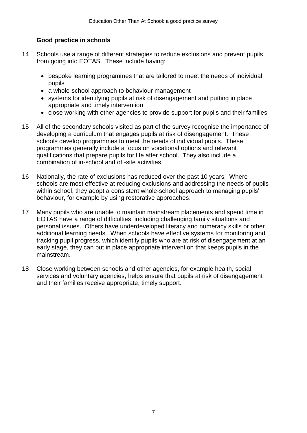#### **Good practice in schools**

- 14 Schools use a range of different strategies to reduce exclusions and prevent pupils from going into EOTAS. These include having:
	- bespoke learning programmes that are tailored to meet the needs of individual pupils
	- a whole-school approach to behaviour management
	- systems for identifying pupils at risk of disengagement and putting in place appropriate and timely intervention
	- close working with other agencies to provide support for pupils and their families
- 15 All of the secondary schools visited as part of the survey recognise the importance of developing a curriculum that engages pupils at risk of disengagement. These schools develop programmes to meet the needs of individual pupils. These programmes generally include a focus on vocational options and relevant qualifications that prepare pupils for life after school. They also include a combination of in-school and off-site activities.
- 16 Nationally, the rate of exclusions has reduced over the past 10 years. Where schools are most effective at reducing exclusions and addressing the needs of pupils within school, they adopt a consistent whole-school approach to managing pupils' behaviour, for example by using restorative approaches.
- 17 Many pupils who are unable to maintain mainstream placements and spend time in EOTAS have a range of difficulties, including challenging family situations and personal issues. Others have underdeveloped literacy and numeracy skills or other additional learning needs. When schools have effective systems for monitoring and tracking pupil progress, which identify pupils who are at risk of disengagement at an early stage, they can put in place appropriate intervention that keeps pupils in the mainstream.
- 18 Close working between schools and other agencies, for example health, social services and voluntary agencies, helps ensure that pupils at risk of disengagement and their families receive appropriate, timely support.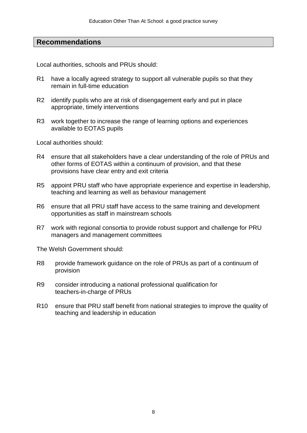### **Recommendations**

Local authorities, schools and PRUs should:

- R1 have a locally agreed strategy to support all vulnerable pupils so that they remain in full-time education
- R2 identify pupils who are at risk of disengagement early and put in place appropriate, timely interventions
- R3 work together to increase the range of learning options and experiences available to EOTAS pupils

Local authorities should:

- R4 ensure that all stakeholders have a clear understanding of the role of PRUs and other forms of EOTAS within a continuum of provision, and that these provisions have clear entry and exit criteria
- R5 appoint PRU staff who have appropriate experience and expertise in leadership, teaching and learning as well as behaviour management
- R6 ensure that all PRU staff have access to the same training and development opportunities as staff in mainstream schools
- R7 work with regional consortia to provide robust support and challenge for PRU managers and management committees

The Welsh Government should:

- R8 provide framework guidance on the role of PRUs as part of a continuum of provision
- R9 consider introducing a national professional qualification for teachers-in-charge of PRUs
- R10 ensure that PRU staff benefit from national strategies to improve the quality of teaching and leadership in education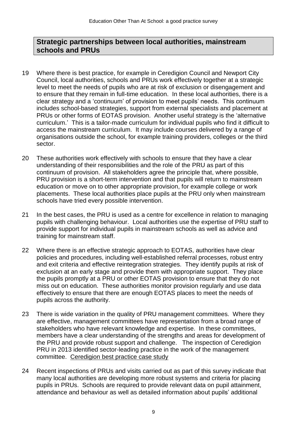## **Strategic partnerships between local authorities, mainstream schools and PRUs**

- 19 Where there is best practice, for example in Ceredigion Council and Newport City Council, local authorities, schools and PRUs work effectively together at a strategic level to meet the needs of pupils who are at risk of exclusion or disengagement and to ensure that they remain in full-time education. In these local authorities, there is a clear strategy and a 'continuum' of provision to meet pupils' needs. This continuum includes school-based strategies, support from external specialists and placement at PRUs or other forms of EOTAS provision. Another useful strategy is the 'alternative curriculum.' This is a tailor-made curriculum for individual pupils who find it difficult to access the mainstream curriculum. It may include courses delivered by a range of organisations outside the school, for example training providers, colleges or the third sector.
- 20 These authorities work effectively with schools to ensure that they have a clear understanding of their responsibilities and the role of the PRU as part of this continuum of provision. All stakeholders agree the principle that, where possible, PRU provision is a short-term intervention and that pupils will return to mainstream education or move on to other appropriate provision, for example college or work placements. These local authorities place pupils at the PRU only when mainstream schools have tried every possible intervention.
- 21 In the best cases, the PRU is used as a centre for excellence in relation to managing pupils with challenging behaviour. Local authorities use the expertise of PRU staff to provide support for individual pupils in mainstream schools as well as advice and training for mainstream staff.
- 22 Where there is an effective strategic approach to EOTAS, authorities have clear policies and procedures, including well-established referral processes, robust entry and exit criteria and effective reintegration strategies. They identify pupils at risk of exclusion at an early stage and provide them with appropriate support. They place the pupils promptly at a PRU or other EOTAS provision to ensure that they do not miss out on education. These authorities monitor provision regularly and use data effectively to ensure that there are enough EOTAS places to meet the needs of pupils across the authority.
- 23 There is wide variation in the quality of PRU management committees. Where they are effective, management committees have representation from a broad range of stakeholders who have relevant knowledge and expertise. In these committees, members have a clear understanding of the strengths and areas for development of the PRU and provide robust support and challenge. The inspection of Ceredigion PRU in 2013 identified sector-leading practice in the work of the management committee. [Ceredigion best practice case study](http://www.estyn.gov.uk/english/docViewer/294539.7/effectively-supporting-pupils-with-social-emotional-and-behavioural-needs/?navmap=33,53,248,%20)
- 24 Recent inspections of PRUs and visits carried out as part of this survey indicate that many local authorities are developing more robust systems and criteria for placing pupils in PRUs. Schools are required to provide relevant data on pupil attainment, attendance and behaviour as well as detailed information about pupils' additional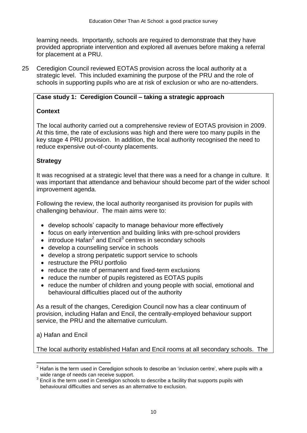learning needs. Importantly, schools are required to demonstrate that they have provided appropriate intervention and explored all avenues before making a referral for placement at a PRU.

25 Ceredigion Council reviewed EOTAS provision across the local authority at a strategic level. This included examining the purpose of the PRU and the role of schools in supporting pupils who are at risk of exclusion or who are no-attenders.

### **Case study 1: Ceredigion Council – taking a strategic approach**

### **Context**

The local authority carried out a comprehensive review of EOTAS provision in 2009. At this time, the rate of exclusions was high and there were too many pupils in the key stage 4 PRU provision. In addition, the local authority recognised the need to reduce expensive out-of-county placements.

### **Strategy**

It was recognised at a strategic level that there was a need for a change in culture. It was important that attendance and behaviour should become part of the wider school improvement agenda.

Following the review, the local authority reorganised its provision for pupils with challenging behaviour. The main aims were to:

- develop schools' capacity to manage behaviour more effectively
- focus on early intervention and building links with pre-school providers
- $\bullet$  introduce Hafan<sup>2</sup> and Encil<sup>3</sup> centres in secondary schools
- develop a counselling service in schools
- develop a strong peripatetic support service to schools
- restructure the PRU portfolio
- reduce the rate of permanent and fixed-term exclusions
- reduce the number of pupils registered as EOTAS pupils
- reduce the number of children and young people with social, emotional and behavioural difficulties placed out of the authority

As a result of the changes, Ceredigion Council now has a clear continuum of provision, including Hafan and Encil, the centrally-employed behaviour support service, the PRU and the alternative curriculum.

a) Hafan and Encil

The local authority established Hafan and Encil rooms at all secondary schools. The

 $\overline{a}$  $<sup>2</sup>$  Hafan is the term used in Ceredigion schools to describe an 'inclusion centre', where pupils with a</sup> wide range of needs can receive support.

 $3$  Encil is the term used in Ceredigion schools to describe a facility that supports pupils with behavioural difficulties and serves as an alternative to exclusion.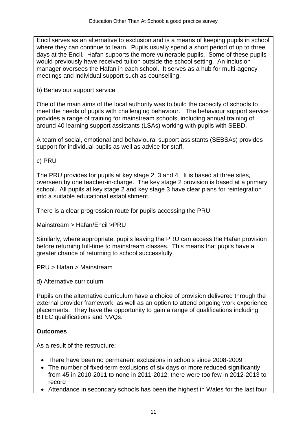Encil serves as an alternative to exclusion and is a means of keeping pupils in school where they can continue to learn. Pupils usually spend a short period of up to three days at the Encil. Hafan supports the more vulnerable pupils. Some of these pupils would previously have received tuition outside the school setting. An inclusion manager oversees the Hafan in each school. It serves as a hub for multi-agency meetings and individual support such as counselling.

### b) Behaviour support service

One of the main aims of the local authority was to build the capacity of schools to meet the needs of pupils with challenging behaviour. The behaviour support service provides a range of training for mainstream schools, including annual training of around 40 learning support assistants (LSAs) working with pupils with SEBD.

A team of social, emotional and behavioural support assistants (SEBSAs) provides support for individual pupils as well as advice for staff.

c) PRU

The PRU provides for pupils at key stage 2, 3 and 4. It is based at three sites, overseen by one teacher-in-charge. The key stage 2 provision is based at a primary school. All pupils at key stage 2 and key stage 3 have clear plans for reintegration into a suitable educational establishment.

There is a clear progression route for pupils accessing the PRU:

Mainstream > Hafan/Encil >PRU

Similarly, where appropriate, pupils leaving the PRU can access the Hafan provision before returning full-time to mainstream classes. This means that pupils have a greater chance of returning to school successfully.

PRU > Hafan > Mainstream

d) Alternative curriculum

Pupils on the alternative curriculum have a choice of provision delivered through the external provider framework, as well as an option to attend ongoing work experience placements. They have the opportunity to gain a range of qualifications including BTEC qualifications and NVQs.

## **Outcomes**

As a result of the restructure:

- There have been no permanent exclusions in schools since 2008-2009
- The number of fixed-term exclusions of six days or more reduced significantly from 45 in 2010-2011 to none in 2011-2012; there were too few in 2012-2013 to record
- Attendance in secondary schools has been the highest in Wales for the last four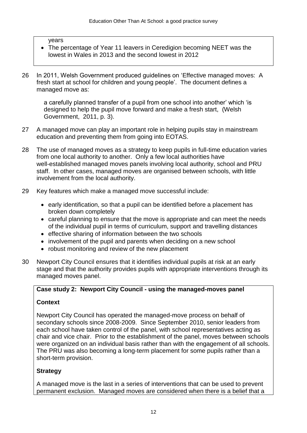#### years

- The percentage of Year 11 leavers in Ceredigion becoming NEET was the lowest in Wales in 2013 and the second lowest in 2012
- 26 In 2011, Welsh Government produced guidelines on 'Effective managed moves: A fresh start at school for children and young people'. The document defines a managed move as:

a carefully planned transfer of a pupil from one school into another' which 'is designed to help the pupil move forward and make a fresh start, (Welsh Government, 2011, p. 3).

- 27 A managed move can play an important role in helping pupils stay in mainstream education and preventing them from going into EOTAS.
- 28 The use of managed moves as a strategy to keep pupils in full-time education varies from one local authority to another. Only a few local authorities have well-established managed moves panels involving local authority, school and PRU staff. In other cases, managed moves are organised between schools, with little involvement from the local authority.
- 29 Key features which make a managed move successful include:
	- early identification, so that a pupil can be identified before a placement has broken down completely
	- careful planning to ensure that the move is appropriate and can meet the needs of the individual pupil in terms of curriculum, support and travelling distances
	- effective sharing of information between the two schools
	- involvement of the pupil and parents when deciding on a new school
	- robust monitoring and review of the new placement
- 30 Newport City Council ensures that it identifies individual pupils at risk at an early stage and that the authority provides pupils with appropriate interventions through its managed moves panel.

### **Case study 2: Newport City Council - using the managed-moves panel**

## **Context**

Newport City Council has operated the managed-move process on behalf of secondary schools since 2008-2009. Since September 2010, senior leaders from each school have taken control of the panel, with school representatives acting as chair and vice chair. Prior to the establishment of the panel, moves between schools were organized on an individual basis rather than with the engagement of all schools. The PRU was also becoming a long-term placement for some pupils rather than a short-term provision.

## **Strategy**

A managed move is the last in a series of interventions that can be used to prevent permanent exclusion. Managed moves are considered when there is a belief that a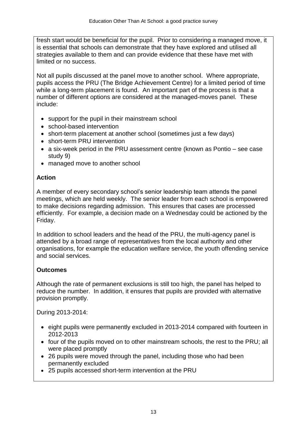fresh start would be beneficial for the pupil. Prior to considering a managed move, it is essential that schools can demonstrate that they have explored and utilised all strategies available to them and can provide evidence that these have met with limited or no success.

Not all pupils discussed at the panel move to another school. Where appropriate, pupils access the PRU (The Bridge Achievement Centre) for a limited period of time while a long-term placement is found. An important part of the process is that a number of different options are considered at the managed-moves panel. These include:

- support for the pupil in their mainstream school
- school-based intervention
- short-term placement at another school (sometimes just a few days)
- short-term PRU intervention
- a six-week period in the PRU assessment centre (known as Pontio see case study 9)
- managed move to another school

## **Action**

A member of every secondary school's senior leadership team attends the panel meetings, which are held weekly. The senior leader from each school is empowered to make decisions regarding admission. This ensures that cases are processed efficiently. For example, a decision made on a Wednesday could be actioned by the Friday.

In addition to school leaders and the head of the PRU, the multi-agency panel is attended by a broad range of representatives from the local authority and other organisations, for example the education welfare service, the youth offending service and social services.

## **Outcomes**

Although the rate of permanent exclusions is still too high, the panel has helped to reduce the number. In addition, it ensures that pupils are provided with alternative provision promptly.

During 2013-2014:

- eight pupils were permanently excluded in 2013-2014 compared with fourteen in 2012-2013
- four of the pupils moved on to other mainstream schools, the rest to the PRU; all were placed promptly
- 26 pupils were moved through the panel, including those who had been permanently excluded
- 25 pupils accessed short-term intervention at the PRU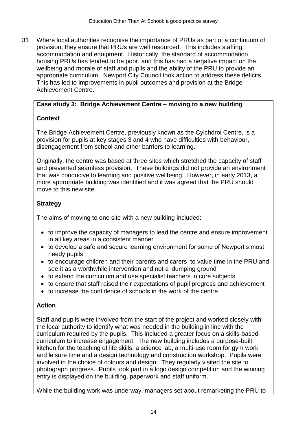31 Where local authorities recognise the importance of PRUs as part of a continuum of provision, they ensure that PRUs are well resourced. This includes staffing, accommodation and equipment. Historically, the standard of accommodation housing PRUs has tended to be poor, and this has had a negative impact on the wellbeing and morale of staff and pupils and the ability of the PRU to provide an appropriate curriculum. Newport City Council took action to address these deficits. This has led to improvements in pupil outcomes and provision at the Bridge Achievement Centre.

### **Case study 3: Bridge Achievement Centre – moving to a new building**

## **Context**

The Bridge Achievement Centre, previously known as the Cylchdroi Centre, is a provision for pupils at key stages 3 and 4 who have difficulties with behaviour, disengagement from school and other barriers to learning.

Originally, the centre was based at three sites which stretched the capacity of staff and prevented seamless provision. These buildings did not provide an environment that was conducive to learning and positive wellbeing. However, in early 2013, a more appropriate building was identified and it was agreed that the PRU should move to this new site.

## **Strategy**

The aims of moving to one site with a new building included:

- to improve the capacity of managers to lead the centre and ensure improvement in all key areas in a consistent manner
- to develop a safe and secure learning environment for some of Newport's most needy pupils
- to encourage children and their parents and carers to value time in the PRU and see it as a worthwhile intervention and not a 'dumping ground'
- to extend the curriculum and use specialist teachers in core subjects
- to ensure that staff raised their expectations of pupil progress and achievement
- to increase the confidence of schools in the work of the centre

## **Action**

Staff and pupils were involved from the start of the project and worked closely with the local authority to identify what was needed in the building in line with the curriculum required by the pupils. This included a greater focus on a skills-based curriculum to increase engagement. The new building includes a purpose-built kitchen for the teaching of life skills, a science lab, a multi-use room for gym work and leisure time and a design technology and construction workshop. Pupils were involved in the choice of colours and design. They regularly visited the site to photograph progress. Pupils took part in a logo design competition and the winning entry is displayed on the building, paperwork and staff uniform.

While the building work was underway, managers set about remarketing the PRU to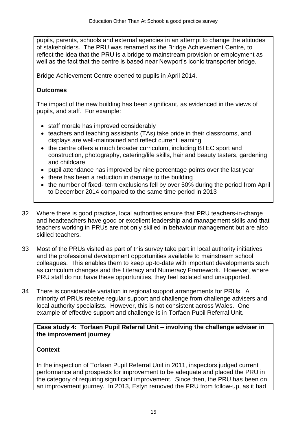pupils, parents, schools and external agencies in an attempt to change the attitudes of stakeholders. The PRU was renamed as the Bridge Achievement Centre, to reflect the idea that the PRU is a bridge to mainstream provision or employment as well as the fact that the centre is based near Newport's iconic transporter bridge.

Bridge Achievement Centre opened to pupils in April 2014.

### **Outcomes**

The impact of the new building has been significant, as evidenced in the views of pupils, and staff. For example:

- staff morale has improved considerably
- teachers and teaching assistants (TAs) take pride in their classrooms, and displays are well-maintained and reflect current learning
- the centre offers a much broader curriculum, including BTEC sport and construction, photography, catering/life skills, hair and beauty tasters, gardening and childcare
- pupil attendance has improved by nine percentage points over the last year
- there has been a reduction in damage to the building
- the number of fixed- term exclusions fell by over 50% during the period from April to December 2014 compared to the same time period in 2013
- 32 Where there is good practice, local authorities ensure that PRU teachers-in-charge and headteachers have good or excellent leadership and management skills and that teachers working in PRUs are not only skilled in behaviour management but are also skilled teachers.
- 33 Most of the PRUs visited as part of this survey take part in local authority initiatives and the professional development opportunities available to mainstream school colleagues. This enables them to keep up-to-date with important developments such as curriculum changes and the Literacy and Numeracy Framework. However, where PRU staff do not have these opportunities, they feel isolated and unsupported.
- 34 There is considerable variation in regional support arrangements for PRUs. A minority of PRUs receive regular support and challenge from challenge advisers and local authority specialists. However, this is not consistent across Wales. One example of effective support and challenge is in Torfaen Pupil Referral Unit.

#### **Case study 4: Torfaen Pupil Referral Unit – involving the challenge adviser in the improvement journey**

### **Context**

In the inspection of Torfaen Pupil Referral Unit in 2011, inspectors judged current performance and prospects for improvement to be adequate and placed the PRU in the category of requiring significant improvement. Since then, the PRU has been on an improvement journey. In 2013, Estyn removed the PRU from follow-up, as it had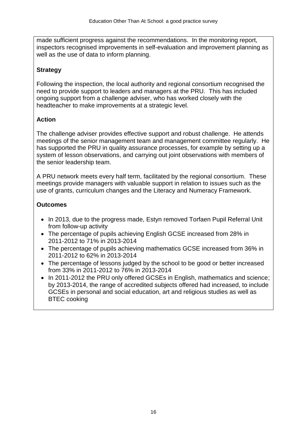made sufficient progress against the recommendations. In the monitoring report, inspectors recognised improvements in self-evaluation and improvement planning as well as the use of data to inform planning.

## **Strategy**

Following the inspection, the local authority and regional consortium recognised the need to provide support to leaders and managers at the PRU. This has included ongoing support from a challenge adviser, who has worked closely with the headteacher to make improvements at a strategic level.

## **Action**

The challenge adviser provides effective support and robust challenge. He attends meetings of the senior management team and management committee regularly. He has supported the PRU in quality assurance processes, for example by setting up a system of lesson observations, and carrying out joint observations with members of the senior leadership team.

A PRU network meets every half term, facilitated by the regional consortium. These meetings provide managers with valuable support in relation to issues such as the use of grants, curriculum changes and the Literacy and Numeracy Framework.

## **Outcomes**

- In 2013, due to the progress made, Estyn removed Torfaen Pupil Referral Unit from follow-up activity
- The percentage of pupils achieving English GCSE increased from 28% in 2011-2012 to 71% in 2013-2014
- The percentage of pupils achieving mathematics GCSE increased from 36% in 2011-2012 to 62% in 2013-2014
- The percentage of lessons judged by the school to be good or better increased from 33% in 2011-2012 to 76% in 2013-2014
- In 2011-2012 the PRU only offered GCSEs in English, mathematics and science; by 2013-2014, the range of accredited subjects offered had increased, to include GCSEs in personal and social education, art and religious studies as well as BTEC cooking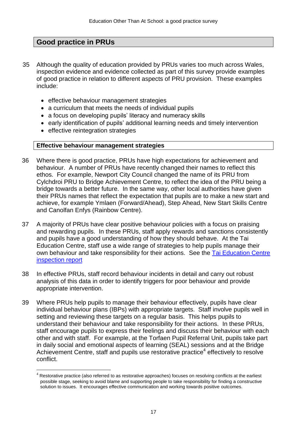## **Good practice in PRUs**

- 35 Although the quality of education provided by PRUs varies too much across Wales, inspection evidence and evidence collected as part of this survey provide examples of good practice in relation to different aspects of PRU provision. These examples include:
	- **•** effective behaviour management strategies
	- a curriculum that meets the needs of individual pupils
	- a focus on developing pupils' literacy and numeracy skills
	- early identification of pupils' additional learning needs and timely intervention
	- effective reintegration strategies

 $\overline{a}$ 

#### **Effective behaviour management strategies**

- 36 Where there is good practice, PRUs have high expectations for achievement and behaviour. A number of PRUs have recently changed their names to reflect this ethos. For example, Newport City Council changed the name of its PRU from Cylchdroi PRU to Bridge Achievement Centre, to reflect the idea of the PRU being a bridge towards a better future. In the same way, other local authorities have given their PRUs names that reflect the expectation that pupils are to make a new start and achieve, for example Ymlaen (Forward/Ahead), Step Ahead, New Start Skills Centre and Canolfan Enfys (Rainbow Centre).
- 37 A majority of PRUs have clear positive behaviour policies with a focus on praising and rewarding pupils. In these PRUs, staff apply rewards and sanctions consistently and pupils have a good understanding of how they should behave. At the Tai Education Centre, staff use a wide range of strategies to help pupils manage their own behaviour and take responsibility for their actions. See the [Tai Education Centre](http://www.estyn.gov.uk/download/publication/294102.9/inspection-report-tai-educational-centre-2013/)  [inspection report](http://www.estyn.gov.uk/download/publication/294102.9/inspection-report-tai-educational-centre-2013/)
- 38 In effective PRUs, staff record behaviour incidents in detail and carry out robust analysis of this data in order to identify triggers for poor behaviour and provide appropriate intervention.
- 39 Where PRUs help pupils to manage their behaviour effectively, pupils have clear individual behaviour plans (IBPs) with appropriate targets. Staff involve pupils well in setting and reviewing these targets on a regular basis. This helps pupils to understand their behaviour and take responsibility for their actions. In these PRUs, staff encourage pupils to express their feelings and discuss their behaviour with each other and with staff. For example, at the Torfaen Pupil Referral Unit, pupils take part in daily social and emotional aspects of learning (SEAL) sessions and at the Bridge Achievement Centre, staff and pupils use restorative practice<sup>4</sup> effectively to resolve conflict.

 $4$  Restorative practice (also referred to as restorative approaches) focuses on resolving conflicts at the earliest possible stage, seeking to avoid blame and supporting people to take responsibility for finding a constructive solution to issues. It encourages effective communication and working towards positive outcomes.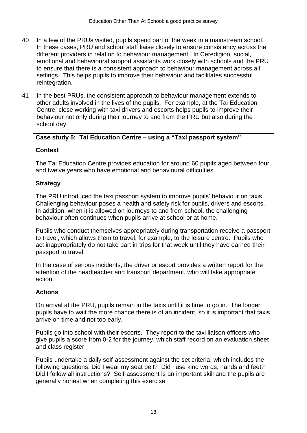- 40 In a few of the PRUs visited, pupils spend part of the week in a mainstream school. In these cases, PRU and school staff liaise closely to ensure consistency across the different providers in relation to behaviour management. In Ceredigion, social, emotional and behavioural support assistants work closely with schools and the PRU to ensure that there is a consistent approach to behaviour management across all settings. This helps pupils to improve their behaviour and facilitates successful reintegration.
- 41 In the best PRUs, the consistent approach to behaviour management extends to other adults involved in the lives of the pupils. For example, at the Tai Education Centre, close working with taxi drivers and escorts helps pupils to improve their behaviour not only during their journey to and from the PRU but also during the school day.

#### **Case study 5: Tai Education Centre – using a "Taxi passport system"**

### **Context**

The Tai Education Centre provides education for around 60 pupils aged between four and twelve years who have emotional and behavioural difficulties.

#### **Strategy**

The PRU introduced the taxi passport system to improve pupils' behaviour on taxis. Challenging behaviour poses a health and safety risk for pupils, drivers and escorts. In addition, when it is allowed on journeys to and from school, the challenging behaviour often continues when pupils arrive at school or at home.

Pupils who conduct themselves appropriately during transportation receive a passport to travel, which allows them to travel, for example, to the leisure centre. Pupils who act inappropriately do not take part in trips for that week until they have earned their passport to travel.

In the case of serious incidents, the driver or escort provides a written report for the attention of the headteacher and transport department, who will take appropriate action.

### **Actions**

On arrival at the PRU, pupils remain in the taxis until it is time to go in. The longer pupils have to wait the more chance there is of an incident, so it is important that taxis arrive on time and not too early.

Pupils go into school with their escorts. They report to the taxi liaison officers who give pupils a score from 0-2 for the journey, which staff record on an evaluation sheet and class register.

Pupils undertake a daily self-assessment against the set criteria, which includes the following questions: Did I wear my seat belt? Did I use kind words, hands and feet? Did I follow all instructions? Self-assessment is an important skill and the pupils are generally honest when completing this exercise.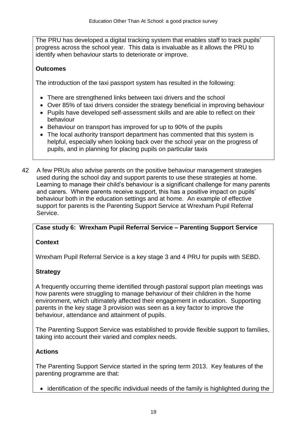The PRU has developed a digital tracking system that enables staff to track pupils' progress across the school year. This data is invaluable as it allows the PRU to identify when behaviour starts to deteriorate or improve.

## **Outcomes**

The introduction of the taxi passport system has resulted in the following:

- There are strengthened links between taxi drivers and the school
- Over 85% of taxi drivers consider the strategy beneficial in improving behaviour
- Pupils have developed self-assessment skills and are able to reflect on their behaviour
- Behaviour on transport has improved for up to 90% of the pupils
- The local authority transport department has commented that this system is helpful, especially when looking back over the school year on the progress of pupils, and in planning for placing pupils on particular taxis
- 42 A few PRUs also advise parents on the positive behaviour management strategies used during the school day and support parents to use these strategies at home. Learning to manage their child's behaviour is a significant challenge for many parents and carers. Where parents receive support, this has a positive impact on pupils' behaviour both in the education settings and at home. An example of effective support for parents is the Parenting Support Service at Wrexham Pupil Referral Service.

### **Case study 6: Wrexham Pupil Referral Service – Parenting Support Service**

### **Context**

Wrexham Pupil Referral Service is a key stage 3 and 4 PRU for pupils with SEBD.

### **Strategy**

A frequently occurring theme identified through pastoral support plan meetings was how parents were struggling to manage behaviour of their children in the home environment, which ultimately affected their engagement in education. Supporting parents in the key stage 3 provision was seen as a key factor to improve the behaviour, attendance and attainment of pupils.

The Parenting Support Service was established to provide flexible support to families, taking into account their varied and complex needs.

### **Actions**

The Parenting Support Service started in the spring term 2013. Key features of the parenting programme are that:

• identification of the specific individual needs of the family is highlighted during the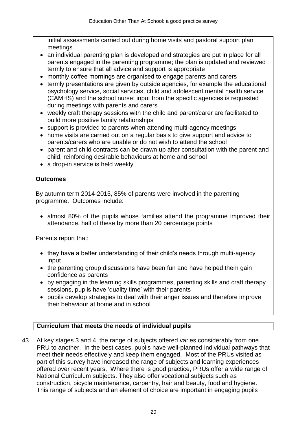initial assessments carried out during home visits and pastoral support plan meetings

- an individual parenting plan is developed and strategies are put in place for all parents engaged in the parenting programme; the plan is updated and reviewed termly to ensure that all advice and support is appropriate
- monthly coffee mornings are organised to engage parents and carers
- termly presentations are given by outside agencies, for example the educational psychology service, social services, child and adolescent mental health service (CAMHS) and the school nurse; input from the specific agencies is requested during meetings with parents and carers
- weekly craft therapy sessions with the child and parent/carer are facilitated to build more positive family relationships
- support is provided to parents when attending multi-agency meetings
- home visits are carried out on a regular basis to give support and advice to parents/carers who are unable or do not wish to attend the school
- parent and child contracts can be drawn up after consultation with the parent and child, reinforcing desirable behaviours at home and school
- a drop-in service is held weekly

### **Outcomes**

By autumn term 2014-2015, 85% of parents were involved in the parenting programme. Outcomes include:

• almost 80% of the pupils whose families attend the programme improved their attendance, half of these by more than 20 percentage points

Parents report that:

- they have a better understanding of their child's needs through multi-agency input
- the parenting group discussions have been fun and have helped them gain confidence as parents
- by engaging in the learning skills programmes, parenting skills and craft therapy sessions, pupils have 'quality time' with their parents
- pupils develop strategies to deal with their anger issues and therefore improve their behaviour at home and in school

## **Curriculum that meets the needs of individual pupils**

43 At key stages 3 and 4, the range of subjects offered varies considerably from one PRU to another. In the best cases, pupils have well-planned individual pathways that meet their needs effectively and keep them engaged. Most of the PRUs visited as part of this survey have increased the range of subjects and learning experiences offered over recent years. Where there is good practice, PRUs offer a wide range of National Curriculum subjects. They also offer vocational subjects such as construction, bicycle maintenance, carpentry, hair and beauty, food and hygiene. This range of subjects and an element of choice are important in engaging pupils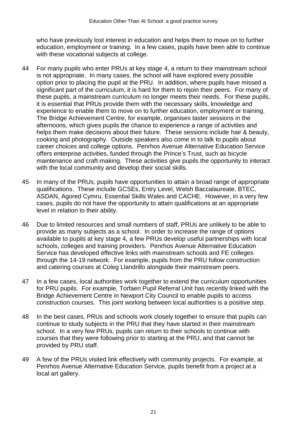who have previously lost interest in education and helps them to move on to further education, employment or training. In a few cases, pupils have been able to continue with these vocational subjects at college.

- 44 For many pupils who enter PRUs at key stage 4, a return to their mainstream school is not appropriate. In many cases, the school will have explored every possible option prior to placing the pupil at the PRU. In addition, where pupils have missed a significant part of the curriculum, it is hard for them to rejoin their peers. For many of these pupils, a mainstream curriculum no longer meets their needs. For these pupils, it is essential that PRUs provide them with the necessary skills, knowledge and experience to enable them to move on to further education, employment or training. The Bridge Achievement Centre, for example, organises taster sessions in the afternoons, which gives pupils the chance to experience a range of activities and helps them make decisions about their future. These sessions include hair & beauty, cooking and photography. Outside speakers also come in to talk to pupils about career choices and college options. Penrhos Avenue Alternative Education Service offers enterprise activities, funded through the Prince's Trust, such as bicycle maintenance and craft-making. These activities give pupils the opportunity to interact with the local community and develop their social skills.
- 45 In many of the PRUs, pupils have opportunities to attain a broad range of appropriate qualifications. These include GCSEs, Entry Level, Welsh Baccalaureate, BTEC, ASDAN, Agored Cymru, Essential Skills Wales and CACHE. However, in a very few cases, pupils do not have the opportunity to attain qualifications at an appropriate level in relation to their ability.
- 46 Due to limited resources and small numbers of staff, PRUs are unlikely to be able to provide as many subjects as a school. In order to increase the range of options available to pupils at key stage 4, a few PRUs develop useful partnerships with local schools, colleges and training providers. Penrhos Avenue Alternative Education Service has developed effective links with mainstream schools and FE colleges through the 14-19 network. For example, pupils from the PRU follow construction and catering courses at Coleg Llandrillo alongside their mainstream peers.
- 47 In a few cases, local authorities work together to extend the curriculum opportunities for PRU pupils. For example, Torfaen Pupil Referral Unit has recently linked with the Bridge Achievement Centre in Newport City Council to enable pupils to access construction courses. This joint working between local authorities is a positive step.
- 48 In the best cases, PRUs and schools work closely together to ensure that pupils can continue to study subjects in the PRU that they have started in their mainstream school. In a very few PRUs, pupils can return to their schools to continue with courses that they were following prior to starting at the PRU, and that cannot be provided by PRU staff.
- 49 A few of the PRUs visited link effectively with community projects. For example, at Penrhos Avenue Alternative Education Service, pupils benefit from a project at a local art gallery.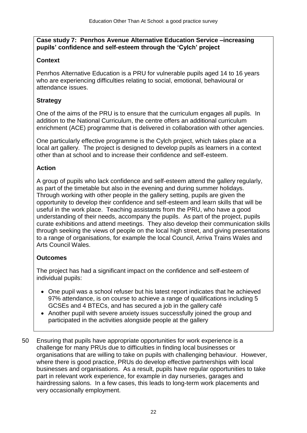#### **Case study 7: Penrhos Avenue Alternative Education Service –increasing pupils' confidence and self-esteem through the 'Cylch' project**

### **Context**

Penrhos Alternative Education is a PRU for vulnerable pupils aged 14 to 16 years who are experiencing difficulties relating to social, emotional, behavioural or attendance issues.

### **Strategy**

One of the aims of the PRU is to ensure that the curriculum engages all pupils. In addition to the National Curriculum, the centre offers an additional curriculum enrichment (ACE) programme that is delivered in collaboration with other agencies.

One particularly effective programme is the Cylch project, which takes place at a local art gallery. The project is designed to develop pupils as learners in a context other than at school and to increase their confidence and self-esteem.

### **Action**

A group of pupils who lack confidence and self-esteem attend the gallery regularly, as part of the timetable but also in the evening and during summer holidays. Through working with other people in the gallery setting, pupils are given the opportunity to develop their confidence and self-esteem and learn skills that will be useful in the work place. Teaching assistants from the PRU, who have a good understanding of their needs, accompany the pupils. As part of the project, pupils curate exhibitions and attend meetings. They also develop their communication skills through seeking the views of people on the local high street, and giving presentations to a range of organisations, for example the local Council, Arriva Trains Wales and Arts Council Wales.

## **Outcomes**

The project has had a significant impact on the confidence and self-esteem of individual pupils:

- One pupil was a school refuser but his latest report indicates that he achieved 97% attendance, is on course to achieve a range of qualifications including 5 GCSEs and 4 BTECs, and has secured a job in the gallery café
- Another pupil with severe anxiety issues successfully joined the group and participated in the activities alongside people at the gallery
- 50 Ensuring that pupils have appropriate opportunities for work experience is a challenge for many PRUs due to difficulties in finding local businesses or organisations that are willing to take on pupils with challenging behaviour. However, where there is good practice, PRUs do develop effective partnerships with local businesses and organisations. As a result, pupils have regular opportunities to take part in relevant work experience, for example in day nurseries, garages and hairdressing salons. In a few cases, this leads to long-term work placements and very occasionally employment.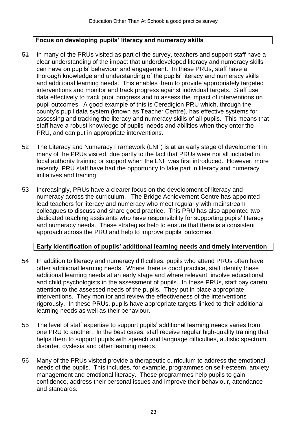#### **Focus on developing pupils' literacy and numeracy skills**

- 51 In many of the PRUs visited as part of the survey, teachers and support staff have a clear understanding of the impact that underdeveloped literacy and numeracy skills can have on pupils' behaviour and engagement. In these PRUs, staff have a thorough knowledge and understanding of the pupils' literacy and numeracy skills and additional learning needs. This enables them to provide appropriately targeted interventions and monitor and track progress against individual targets. Staff use data effectively to track pupil progress and to assess the impact of interventions on pupil outcomes. A good example of this is Ceredigion PRU which, through the county's pupil data system (known as Teacher Centre), has effective systems for assessing and tracking the literacy and numeracy skills of all pupils. This means that staff have a robust knowledge of pupils' needs and abilities when they enter the PRU, and can put in appropriate interventions.
- 52 The Literacy and Numeracy Framework (LNF) is at an early stage of development in many of the PRUs visited, due partly to the fact that PRUs were not all included in local authority training or support when the LNF was first introduced. However, more recently, PRU staff have had the opportunity to take part in literacy and numeracy initiatives and training.
- 53 Increasingly, PRUs have a clearer focus on the development of literacy and numeracy across the curriculum. The Bridge Achievement Centre has appointed lead teachers for literacy and numeracy who meet regularly with mainstream colleagues to discuss and share good practice. This PRU has also appointed two dedicated teaching assistants who have responsibility for supporting pupils' literacy and numeracy needs. These strategies help to ensure that there is a consistent approach across the PRU and help to improve pupils' outcomes.

#### **Early identification of pupils' additional learning needs and timely intervention**

- 54 In addition to literacy and numeracy difficulties, pupils who attend PRUs often have other additional learning needs. Where there is good practice, staff identify these additional learning needs at an early stage and where relevant, involve educational and child psychologists in the assessment of pupils. In these PRUs, staff pay careful attention to the assessed needs of the pupils. They put in place appropriate interventions. They monitor and review the effectiveness of the interventions rigorously. In these PRUs, pupils have appropriate targets linked to their additional learning needs as well as their behaviour.
- 55 The level of staff expertise to support pupils' additional learning needs varies from one PRU to another. In the best cases, staff receive regular high-quality training that helps them to support pupils with speech and language difficulties, autistic spectrum disorder, dyslexia and other learning needs.
- 56 Many of the PRUs visited provide a therapeutic curriculum to address the emotional needs of the pupils. This includes, for example, programmes on self-esteem, anxiety management and emotional literacy. These programmes help pupils to gain confidence, address their personal issues and improve their behaviour, attendance and standards.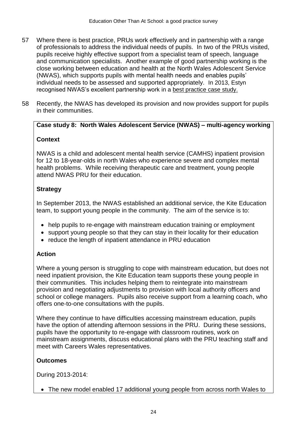- 57 Where there is best practice, PRUs work effectively and in partnership with a range of professionals to address the individual needs of pupils. In two of the PRUs visited, pupils receive highly effective support from a specialist team of speech, language and communication specialists. Another example of good partnership working is the close working between education and health at the North Wales Adolescent Service (NWAS), which supports pupils with mental health needs and enables pupils' individual needs to be assessed and supported appropriately. In 2013, Estyn recognised NWAS's excellent partnership work in a [best practice case study.](http://www.estyn.gov.uk/english/docViewer/287114.1/helping-young-people-to-manage-emotions-and-relationships/?navmap=33,53,248,)
- 58 Recently, the NWAS has developed its provision and now provides support for pupils in their communities.

#### **Case study 8: North Wales Adolescent Service (NWAS) – multi-agency working**

#### **Context**

NWAS is a child and adolescent mental health service (CAMHS) inpatient provision for 12 to 18-year-olds in north Wales who experience severe and complex mental health problems. While receiving therapeutic care and treatment, young people attend NWAS PRU for their education.

#### **Strategy**

In September 2013, the NWAS established an additional service, the Kite Education team, to support young people in the community. The aim of the service is to:

- help pupils to re-engage with mainstream education training or employment
- support young people so that they can stay in their locality for their education
- reduce the length of inpatient attendance in PRU education

#### **Action**

Where a young person is struggling to cope with mainstream education, but does not need inpatient provision, the Kite Education team supports these young people in their communities. This includes helping them to reintegrate into mainstream provision and negotiating adjustments to provision with local authority officers and school or college managers. Pupils also receive support from a learning coach, who offers one-to-one consultations with the pupils.

Where they continue to have difficulties accessing mainstream education, pupils have the option of attending afternoon sessions in the PRU. During these sessions, pupils have the opportunity to re-engage with classroom routines, work on mainstream assignments, discuss educational plans with the PRU teaching staff and meet with Careers Wales representatives.

#### **Outcomes**

During 2013-2014:

The new model enabled 17 additional young people from across north Wales to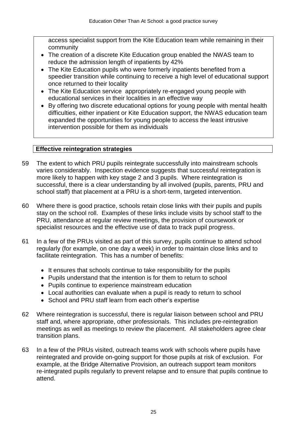access specialist support from the Kite Education team while remaining in their community

- The creation of a discrete Kite Education group enabled the NWAS team to reduce the admission length of inpatients by 42%
- The Kite Education pupils who were formerly inpatients benefited from a speedier transition while continuing to receive a high level of educational support once returned to their locality
- The Kite Education service appropriately re-engaged young people with educational services in their localities in an effective way
- By offering two discrete educational options for young people with mental health difficulties, either inpatient or Kite Education support, the NWAS education team expanded the opportunities for young people to access the least intrusive intervention possible for them as individuals

#### **Effective reintegration strategies**

- 59 The extent to which PRU pupils reintegrate successfully into mainstream schools varies considerably. Inspection evidence suggests that successful reintegration is more likely to happen with key stage 2 and 3 pupils. Where reintegration is successful, there is a clear understanding by all involved (pupils, parents, PRU and school staff) that placement at a PRU is a short-term, targeted intervention.
- 60 Where there is good practice, schools retain close links with their pupils and pupils stay on the school roll. Examples of these links include visits by school staff to the PRU, attendance at regular review meetings, the provision of coursework or specialist resources and the effective use of data to track pupil progress.
- 61 In a few of the PRUs visited as part of this survey, pupils continue to attend school regularly (for example, on one day a week) in order to maintain close links and to facilitate reintegration. This has a number of benefits:
	- It ensures that schools continue to take responsibility for the pupils
	- Pupils understand that the intention is for them to return to school
	- Pupils continue to experience mainstream education
	- Local authorities can evaluate when a pupil is ready to return to school
	- School and PRU staff learn from each other's expertise
- 62 Where reintegration is successful, there is regular liaison between school and PRU staff and, where appropriate, other professionals. This includes pre-reintegration meetings as well as meetings to review the placement. All stakeholders agree clear transition plans.
- 63 In a few of the PRUs visited, outreach teams work with schools where pupils have reintegrated and provide on-going support for those pupils at risk of exclusion. For example, at the Bridge Alternative Provision, an outreach support team monitors re-integrated pupils regularly to prevent relapse and to ensure that pupils continue to attend.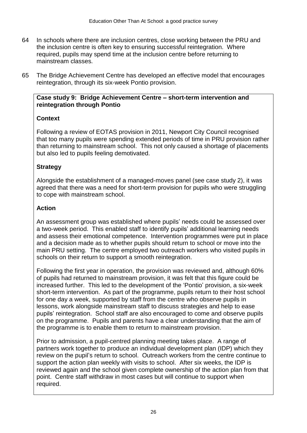- 64 In schools where there are inclusion centres, close working between the PRU and the inclusion centre is often key to ensuring successful reintegration. Where required, pupils may spend time at the inclusion centre before returning to mainstream classes.
- 65 The Bridge Achievement Centre has developed an effective model that encourages reintegration, through its six-week Pontio provision.

#### **Case study 9: Bridge Achievement Centre – short-term intervention and reintegration through Pontio**

### **Context**

Following a review of EOTAS provision in 2011, Newport City Council recognised that too many pupils were spending extended periods of time in PRU provision rather than returning to mainstream school. This not only caused a shortage of placements but also led to pupils feeling demotivated.

### **Strategy**

Alongside the establishment of a managed-moves panel (see case study 2), it was agreed that there was a need for short-term provision for pupils who were struggling to cope with mainstream school.

### **Action**

An assessment group was established where pupils' needs could be assessed over a two-week period. This enabled staff to identify pupils' additional learning needs and assess their emotional competence. Intervention programmes were put in place and a decision made as to whether pupils should return to school or move into the main PRU setting. The centre employed two outreach workers who visited pupils in schools on their return to support a smooth reintegration.

Following the first year in operation, the provision was reviewed and, although 60% of pupils had returned to mainstream provision, it was felt that this figure could be increased further. This led to the development of the 'Pontio' provision, a six-week short-term intervention. As part of the programme, pupils return to their host school for one day a week, supported by staff from the centre who observe pupils in lessons, work alongside mainstream staff to discuss strategies and help to ease pupils' reintegration. School staff are also encouraged to come and observe pupils on the programme. Pupils and parents have a clear understanding that the aim of the programme is to enable them to return to mainstream provision.

Prior to admission, a pupil-centred planning meeting takes place. A range of partners work together to produce an individual development plan (IDP) which they review on the pupil's return to school. Outreach workers from the centre continue to support the action plan weekly with visits to school. After six weeks, the IDP is reviewed again and the school given complete ownership of the action plan from that point. Centre staff withdraw in most cases but will continue to support when required.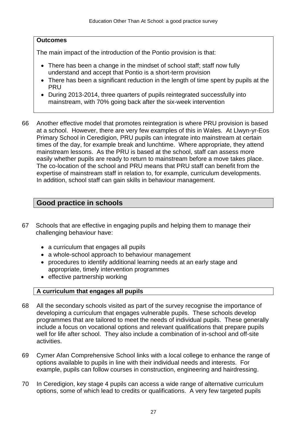#### **Outcomes**

The main impact of the introduction of the Pontio provision is that:

- There has been a change in the mindset of school staff: staff now fully understand and accept that Pontio is a short-term provision
- There has been a significant reduction in the length of time spent by pupils at the PRU
- During 2013-2014, three quarters of pupils reintegrated successfully into mainstream, with 70% going back after the six-week intervention
- 66 Another effective model that promotes reintegration is where PRU provision is based at a school. However, there are very few examples of this in Wales. At Llwyn-yr-Eos Primary School in Ceredigion, PRU pupils can integrate into mainstream at certain times of the day, for example break and lunchtime. Where appropriate, they attend mainstream lessons. As the PRU is based at the school, staff can assess more easily whether pupils are ready to return to mainstream before a move takes place. The co-location of the school and PRU means that PRU staff can benefit from the expertise of mainstream staff in relation to, for example, curriculum developments. In addition, school staff can gain skills in behaviour management.

## **Good practice in schools**

- 67 Schools that are effective in engaging pupils and helping them to manage their challenging behaviour have:
	- a curriculum that engages all pupils
	- a whole-school approach to behaviour management
	- procedures to identify additional learning needs at an early stage and appropriate, timely intervention programmes
	- $\bullet$  effective partnership working

### **A curriculum that engages all pupils**

- 68 All the secondary schools visited as part of the survey recognise the importance of developing a curriculum that engages vulnerable pupils. These schools develop programmes that are tailored to meet the needs of individual pupils. These generally include a focus on vocational options and relevant qualifications that prepare pupils well for life after school. They also include a combination of in-school and off-site activities.
- 69 Cymer Afan Comprehensive School links with a local college to enhance the range of options available to pupils in line with their individual needs and interests. For example, pupils can follow courses in construction, engineering and hairdressing.
- 70 In Ceredigion, key stage 4 pupils can access a wide range of alternative curriculum options, some of which lead to credits or qualifications. A very few targeted pupils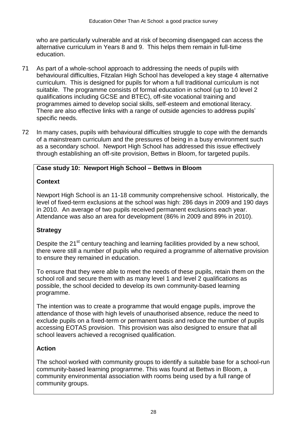who are particularly vulnerable and at risk of becoming disengaged can access the alternative curriculum in Years 8 and 9. This helps them remain in full-time education.

- 71 As part of a whole-school approach to addressing the needs of pupils with behavioural difficulties, Fitzalan High School has developed a key stage 4 alternative curriculum. This is designed for pupils for whom a full traditional curriculum is not suitable. The programme consists of formal education in school (up to 10 level 2 qualifications including GCSE and BTEC), off-site vocational training and programmes aimed to develop social skills, self-esteem and emotional literacy. There are also effective links with a range of outside agencies to address pupils' specific needs.
- 72 In many cases, pupils with behavioural difficulties struggle to cope with the demands of a mainstream curriculum and the pressures of being in a busy environment such as a secondary school. Newport High School has addressed this issue effectively through establishing an off-site provision, Bettws in Bloom, for targeted pupils.

### **Case study 10: Newport High School – Bettws in Bloom**

### **Context**

Newport High School is an 11-18 community comprehensive school. Historically, the level of fixed-term exclusions at the school was high: 286 days in 2009 and 190 days in 2010. An average of two pupils received permanent exclusions each year. Attendance was also an area for development (86% in 2009 and 89% in 2010).

## **Strategy**

Despite the 21<sup>st</sup> century teaching and learning facilities provided by a new school, there were still a number of pupils who required a programme of alternative provision to ensure they remained in education.

To ensure that they were able to meet the needs of these pupils, retain them on the school roll and secure them with as many level 1 and level 2 qualifications as possible, the school decided to develop its own community-based learning programme.

The intention was to create a programme that would engage pupils, improve the attendance of those with high levels of unauthorised absence, reduce the need to exclude pupils on a fixed-term or permanent basis and reduce the number of pupils accessing EOTAS provision. This provision was also designed to ensure that all school leavers achieved a recognised qualification.

## **Action**

The school worked with community groups to identify a suitable base for a school-run community-based learning programme. This was found at Bettws in Bloom, a community environmental association with rooms being used by a full range of community groups.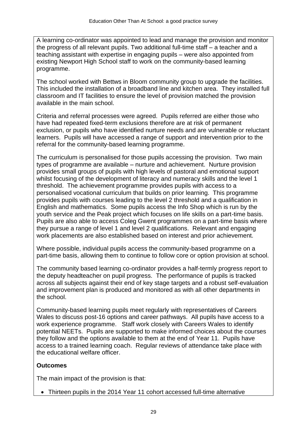A learning co-ordinator was appointed to lead and manage the provision and monitor the progress of all relevant pupils. Two additional full-time staff – a teacher and a teaching assistant with expertise in engaging pupils – were also appointed from existing Newport High School staff to work on the community-based learning programme.

The school worked with Bettws in Bloom community group to upgrade the facilities. This included the installation of a broadband line and kitchen area. They installed full classroom and IT facilities to ensure the level of provision matched the provision available in the main school.

Criteria and referral processes were agreed. Pupils referred are either those who have had repeated fixed-term exclusions therefore are at risk of permanent exclusion, or pupils who have identified nurture needs and are vulnerable or reluctant learners. Pupils will have accessed a range of support and intervention prior to the referral for the community-based learning programme.

The curriculum is personalised for those pupils accessing the provision. Two main types of programme are available – nurture and achievement. Nurture provision provides small groups of pupils with high levels of pastoral and emotional support whilst focusing of the development of literacy and numeracy skills and the level 1 threshold. The achievement programme provides pupils with access to a personalised vocational curriculum that builds on prior learning. This programme provides pupils with courses leading to the level 2 threshold and a qualification in English and mathematics. Some pupils access the Info Shop which is run by the youth service and the Peak project which focuses on life skills on a part-time basis. Pupils are also able to access Coleg Gwent programmes on a part-time basis where they pursue a range of level 1 and level 2 qualifications. Relevant and engaging work placements are also established based on interest and prior achievement.

Where possible, individual pupils access the community-based programme on a part-time basis, allowing them to continue to follow core or option provision at school.

The community based learning co-ordinator provides a half-termly progress report to the deputy headteacher on pupil progress. The performance of pupils is tracked across all subjects against their end of key stage targets and a robust self-evaluation and improvement plan is produced and monitored as with all other departments in the school.

Community-based learning pupils meet regularly with representatives of Careers Wales to discuss post-16 options and career pathways. All pupils have access to a work experience programme. Staff work closely with Careers Wales to identify potential NEETs. Pupils are supported to make informed choices about the courses they follow and the options available to them at the end of Year 11. Pupils have access to a trained learning coach. Regular reviews of attendance take place with the educational welfare officer

### **Outcomes**

The main impact of the provision is that:

Thirteen pupils in the 2014 Year 11 cohort accessed full-time alternative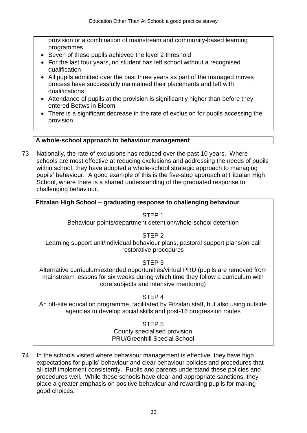provision or a combination of mainstream and community-based learning programmes

- Seven of these pupils achieved the level 2 threshold
- For the last four years, no student has left school without a recognised qualification
- All pupils admitted over the past three years as part of the managed moves process have successfully maintained their placements and left with qualifications
- Attendance of pupils at the provision is significantly higher than before they entered Bettws in Bloom
- There is a significant decrease in the rate of exclusion for pupils accessing the provision

#### **A whole-school approach to behaviour management**

73 Nationally, the rate of exclusions has reduced over the past 10 years. Where schools are most effective at reducing exclusions and addressing the needs of pupils within school, they have adopted a whole-school strategic approach to managing pupils' behaviour. A good example of this is the five-step approach at Fitzalan High School, where there is a shared understanding of the graduated response to challenging behaviour.

#### **Fitzalan High School – graduating response to challenging behaviour**

STEP 1 Behaviour points/department detention/whole-school detention

STEP 2 Learning support unit/individual behaviour plans, pastoral support plans/on-call restorative procedures

#### STEP 3

Alternative curriculum/extended opportunities/virtual PRU (pupils are removed from mainstream lessons for six weeks during which time they follow a curriculum with core subjects and intensive mentoring)

#### STEP 4

An off-site education programme, facilitated by Fitzalan staff, but also using outside agencies to develop social skills and post-16 progression routes

#### STEP 5

County specialised provision PRU/Greenhill Special School

74 In the schools visited where behaviour management is effective, they have high expectations for pupils' behaviour and clear behaviour policies and procedures that all staff implement consistently. Pupils and parents understand these policies and procedures well. While these schools have clear and appropriate sanctions, they place a greater emphasis on positive behaviour and rewarding pupils for making good choices.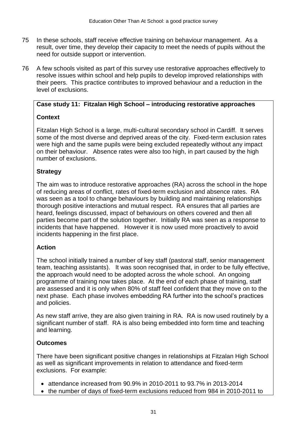- 75 In these schools, staff receive effective training on behaviour management. As a result, over time, they develop their capacity to meet the needs of pupils without the need for outside support or intervention.
- 76 A few schools visited as part of this survey use restorative approaches effectively to resolve issues within school and help pupils to develop improved relationships with their peers. This practice contributes to improved behaviour and a reduction in the level of exclusions.

### **Case study 11: Fitzalan High School – introducing restorative approaches**

### **Context**

Fitzalan High School is a large, multi-cultural secondary school in Cardiff. It serves some of the most diverse and deprived areas of the city. Fixed-term exclusion rates were high and the same pupils were being excluded repeatedly without any impact on their behaviour. Absence rates were also too high, in part caused by the high number of exclusions.

### **Strategy**

The aim was to introduce restorative approaches (RA) across the school in the hope of reducing areas of conflict, rates of fixed-term exclusion and absence rates. RA was seen as a tool to change behaviours by building and maintaining relationships thorough positive interactions and mutual respect. RA ensures that all parties are heard, feelings discussed, impact of behaviours on others covered and then all parties become part of the solution together. Initially RA was seen as a response to incidents that have happened. However it is now used more proactively to avoid incidents happening in the first place.

### **Action**

The school initially trained a number of key staff (pastoral staff, senior management team, teaching assistants). It was soon recognised that, in order to be fully effective, the approach would need to be adopted across the whole school. An ongoing programme of training now takes place. At the end of each phase of training, staff are assessed and it is only when 80% of staff feel confident that they move on to the next phase. Each phase involves embedding RA further into the school's practices and policies.

As new staff arrive, they are also given training in RA. RA is now used routinely by a significant number of staff. RA is also being embedded into form time and teaching and learning.

### **Outcomes**

There have been significant positive changes in relationships at Fitzalan High School as well as significant improvements in relation to attendance and fixed-term exclusions. For example:

- $\bullet$  attendance increased from 90.9% in 2010-2011 to 93.7% in 2013-2014
- the number of days of fixed-term exclusions reduced from 984 in 2010-2011 to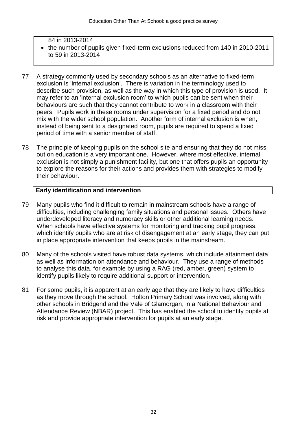#### 84 in 2013-2014 • the number of pupils given fixed-term exclusions reduced from 140 in 2010-2011 to 59 in 2013-2014

- 77 A strategy commonly used by secondary schools as an alternative to fixed-term exclusion is 'internal exclusion'. There is variation in the terminology used to describe such provision, as well as the way in which this type of provision is used. It may refer to an 'internal exclusion room' to which pupils can be sent when their behaviours are such that they cannot contribute to work in a classroom with their peers. Pupils work in these rooms under supervision for a fixed period and do not mix with the wider school population. Another form of internal exclusion is when, instead of being sent to a designated room, pupils are required to spend a fixed period of time with a senior member of staff.
- 78 The principle of keeping pupils on the school site and ensuring that they do not miss out on education is a very important one. However, where most effective, internal exclusion is not simply a punishment facility, but one that offers pupils an opportunity to explore the reasons for their actions and provides them with strategies to modify their behaviour.

#### **Early identification and intervention**

- 79 Many pupils who find it difficult to remain in mainstream schools have a range of difficulties, including challenging family situations and personal issues. Others have underdeveloped literacy and numeracy skills or other additional learning needs. When schools have effective systems for monitoring and tracking pupil progress, which identify pupils who are at risk of disengagement at an early stage, they can put in place appropriate intervention that keeps pupils in the mainstream.
- 80 Many of the schools visited have robust data systems, which include attainment data as well as information on attendance and behaviour. They use a range of methods to analyse this data, for example by using a RAG (red, amber, green) system to identify pupils likely to require additional support or intervention.
- 81 For some pupils, it is apparent at an early age that they are likely to have difficulties as they move through the school. Holton Primary School was involved, along with other schools in Bridgend and the Vale of Glamorgan, in a National Behaviour and Attendance Review (NBAR) project. This has enabled the school to identify pupils at risk and provide appropriate intervention for pupils at an early stage.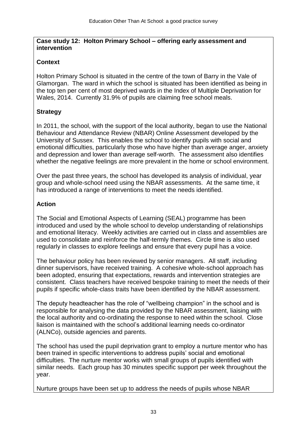#### **Case study 12: Holton Primary School – offering early assessment and intervention**

### **Context**

Holton Primary School is situated in the centre of the town of Barry in the Vale of Glamorgan. The ward in which the school is situated has been identified as being in the top ten per cent of most deprived wards in the Index of Multiple Deprivation for Wales, 2014. Currently 31.9% of pupils are claiming free school meals.

## **Strategy**

In 2011, the school, with the support of the local authority, began to use the National Behaviour and Attendance Review (NBAR) Online Assessment developed by the University of Sussex. This enables the school to identify pupils with social and emotional difficulties, particularly those who have higher than average anger, anxiety and depression and lower than average self-worth. The assessment also identifies whether the negative feelings are more prevalent in the home or school environment.

Over the past three years, the school has developed its analysis of individual, year group and whole-school need using the NBAR assessments. At the same time, it has introduced a range of interventions to meet the needs identified.

### **Action**

The Social and Emotional Aspects of Learning (SEAL) programme has been introduced and used by the whole school to develop understanding of relationships and emotional literacy. Weekly activities are carried out in class and assemblies are used to consolidate and reinforce the half-termly themes. Circle time is also used regularly in classes to explore feelings and ensure that every pupil has a voice.

The behaviour policy has been reviewed by senior managers. All staff, including dinner supervisors, have received training. A cohesive whole-school approach has been adopted, ensuring that expectations, rewards and intervention strategies are consistent. Class teachers have received bespoke training to meet the needs of their pupils if specific whole-class traits have been identified by the NBAR assessment.

The deputy headteacher has the role of "wellbeing champion" in the school and is responsible for analysing the data provided by the NBAR assessment, liaising with the local authority and co-ordinating the response to need within the school. Close liaison is maintained with the school's additional learning needs co-ordinator (ALNCo), outside agencies and parents.

The school has used the pupil deprivation grant to employ a nurture mentor who has been trained in specific interventions to address pupils' social and emotional difficulties. The nurture mentor works with small groups of pupils identified with similar needs. Each group has 30 minutes specific support per week throughout the year.

Nurture groups have been set up to address the needs of pupils whose NBAR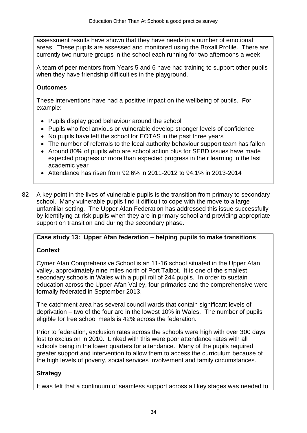assessment results have shown that they have needs in a number of emotional areas. These pupils are assessed and monitored using the Boxall Profile. There are currently two nurture groups in the school each running for two afternoons a week.

A team of peer mentors from Years 5 and 6 have had training to support other pupils when they have friendship difficulties in the playground.

### **Outcomes**

These interventions have had a positive impact on the wellbeing of pupils. For example:

- Pupils display good behaviour around the school
- Pupils who feel anxious or vulnerable develop stronger levels of confidence
- No pupils have left the school for EOTAS in the past three years
- The number of referrals to the local authority behaviour support team has fallen
- Around 80% of pupils who are school action plus for SEBD issues have made expected progress or more than expected progress in their learning in the last academic year
- $\bullet$  Attendance has risen from 92.6% in 2011-2012 to 94.1% in 2013-2014
- 82 A key point in the lives of vulnerable pupils is the transition from primary to secondary school. Many vulnerable pupils find it difficult to cope with the move to a large unfamiliar setting. The Upper Afan Federation has addressed this issue successfully by identifying at-risk pupils when they are in primary school and providing appropriate support on transition and during the secondary phase.

## **Case study 13: Upper Afan federation – helping pupils to make transitions**

### **Context**

Cymer Afan Comprehensive School is an 11-16 school situated in the Upper Afan valley, approximately nine miles north of Port Talbot. It is one of the smallest secondary schools in Wales with a pupil roll of 244 pupils. In order to sustain education across the Upper Afan Valley, four primaries and the comprehensive were formally federated in September 2013.

The catchment area has several council wards that contain significant levels of deprivation – two of the four are in the lowest 10% in Wales. The number of pupils eligible for free school meals is 42% across the federation.

Prior to federation, exclusion rates across the schools were high with over 300 days lost to exclusion in 2010. Linked with this were poor attendance rates with all schools being in the lower quarters for attendance. Many of the pupils required greater support and intervention to allow them to access the curriculum because of the high levels of poverty, social services involvement and family circumstances.

## **Strategy**

It was felt that a continuum of seamless support across all key stages was needed to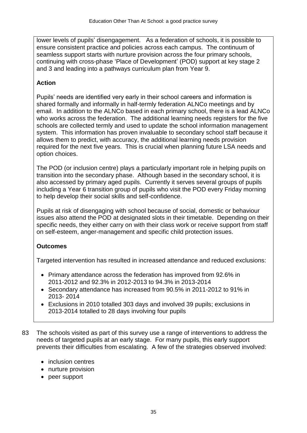lower levels of pupils' disengagement. As a federation of schools, it is possible to ensure consistent practice and policies across each campus. The continuum of seamless support starts with nurture provision across the four primary schools, continuing with cross-phase 'Place of Development' (POD) support at key stage 2 and 3 and leading into a pathways curriculum plan from Year 9.

### **Action**

Pupils' needs are identified very early in their school careers and information is shared formally and informally in half-termly federation ALNCo meetings and by email. In addition to the ALNCo based in each primary school, there is a lead ALNCo who works across the federation. The additional learning needs registers for the five schools are collected termly and used to update the school information management system. This information has proven invaluable to secondary school staff because it allows them to predict, with accuracy, the additional learning needs provision required for the next five years. This is crucial when planning future LSA needs and option choices.

The POD (or inclusion centre) plays a particularly important role in helping pupils on transition into the secondary phase. Although based in the secondary school, it is also accessed by primary aged pupils. Currently it serves several groups of pupils including a Year 6 transition group of pupils who visit the POD every Friday morning to help develop their social skills and self-confidence.

Pupils at risk of disengaging with school because of social, domestic or behaviour issues also attend the POD at designated slots in their timetable. Depending on their specific needs, they either carry on with their class work or receive support from staff on self-esteem, anger-management and specific child protection issues.

### **Outcomes**

Targeted intervention has resulted in increased attendance and reduced exclusions:

- Primary attendance across the federation has improved from 92.6% in 2011-2012 and 92.3% in 2012-2013 to 94.3% in 2013-2014
- Secondary attendance has increased from 90.5% in 2011-2012 to 91% in 2013- 2014
- Exclusions in 2010 totalled 303 days and involved 39 pupils; exclusions in 2013-2014 totalled to 28 days involving four pupils
- 83 The schools visited as part of this survey use a range of interventions to address the needs of targeted pupils at an early stage. For many pupils, this early support prevents their difficulties from escalating. A few of the strategies observed involved:
	- inclusion centres
	- nurture provision
	- peer support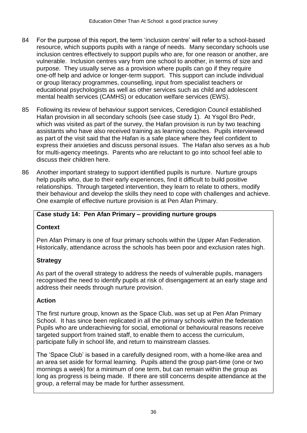- 84 For the purpose of this report, the term 'inclusion centre' will refer to a school-based resource, which supports pupils with a range of needs. Many secondary schools use inclusion centres effectively to support pupils who are, for one reason or another, are vulnerable. Inclusion centres vary from one school to another, in terms of size and purpose. They usually serve as a provision where pupils can go if they require one-off help and advice or longer-term support. This support can include individual or group literacy programmes, counselling, input from specialist teachers or educational psychologists as well as other services such as child and adolescent mental health services (CAMHS) or education welfare services (EWS).
- 85 Following its review of behaviour support services, Ceredigion Council established Hafan provision in all secondary schools (see case study 1). At Ysgol Bro Pedr, which was visited as part of the survey, the Hafan provision is run by two teaching assistants who have also received training as learning coaches. Pupils interviewed as part of the visit said that the Hafan is a safe place where they feel confident to express their anxieties and discuss personal issues. The Hafan also serves as a hub for multi-agency meetings. Parents who are reluctant to go into school feel able to discuss their children here.
- 86 Another important strategy to support identified pupils is nurture. Nurture groups help pupils who, due to their early experiences, find it difficult to build positive relationships. Through targeted intervention, they learn to relate to others, modify their behaviour and develop the skills they need to cope with challenges and achieve. One example of effective nurture provision is at Pen Afan Primary.

### **Case study 14: Pen Afan Primary – providing nurture groups**

### **Context**

Pen Afan Primary is one of four primary schools within the Upper Afan Federation. Historically, attendance across the schools has been poor and exclusion rates high.

### **Strategy**

As part of the overall strategy to address the needs of vulnerable pupils, managers recognised the need to identify pupils at risk of disengagement at an early stage and address their needs through nurture provision.

#### **Action**

The first nurture group, known as the Space Club, was set up at Pen Afan Primary School. It has since been replicated in all the primary schools within the federation Pupils who are underachieving for social, emotional or behavioural reasons receive targeted support from trained staff, to enable them to access the curriculum, participate fully in school life, and return to mainstream classes.

The 'Space Club' is based in a carefully designed room, with a home-like area and an area set aside for formal learning. Pupils attend the group part-time (one or two mornings a week) for a minimum of one term, but can remain within the group as long as progress is being made. If there are still concerns despite attendance at the group, a referral may be made for further assessment.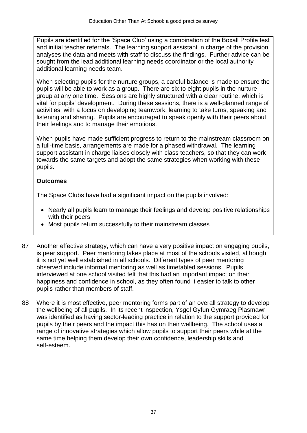Pupils are identified for the 'Space Club' using a combination of the Boxall Profile test and initial teacher referrals. The learning support assistant in charge of the provision analyses the data and meets with staff to discuss the findings. Further advice can be sought from the lead additional learning needs coordinator or the local authority additional learning needs team.

When selecting pupils for the nurture groups, a careful balance is made to ensure the pupils will be able to work as a group. There are six to eight pupils in the nurture group at any one time. Sessions are highly structured with a clear routine, which is vital for pupils' development. During these sessions, there is a well-planned range of activities, with a focus on developing teamwork, learning to take turns, speaking and listening and sharing. Pupils are encouraged to speak openly with their peers about their feelings and to manage their emotions.

When pupils have made sufficient progress to return to the mainstream classroom on a full-time basis, arrangements are made for a phased withdrawal. The learning support assistant in charge liaises closely with class teachers, so that they can work towards the same targets and adopt the same strategies when working with these pupils.

## **Outcomes**

The Space Clubs have had a significant impact on the pupils involved:

- Nearly all pupils learn to manage their feelings and develop positive relationships with their peers
- Most pupils return successfully to their mainstream classes
- 87 Another effective strategy, which can have a very positive impact on engaging pupils, is peer support. Peer mentoring takes place at most of the schools visited, although it is not yet well established in all schools. Different types of peer mentoring observed include informal mentoring as well as timetabled sessions. Pupils interviewed at one school visited felt that this had an important impact on their happiness and confidence in school, as they often found it easier to talk to other pupils rather than members of staff.
- 88 Where it is most effective, peer mentoring forms part of an overall strategy to develop the wellbeing of all pupils. In its recent inspection, Ysgol Gyfun Gymraeg Plasmawr was identified as having sector-leading practice in relation to the support provided for pupils by their peers and the impact this has on their wellbeing. The school uses a range of innovative strategies which allow pupils to support their peers while at the same time helping them develop their own confidence, leadership skills and self-esteem.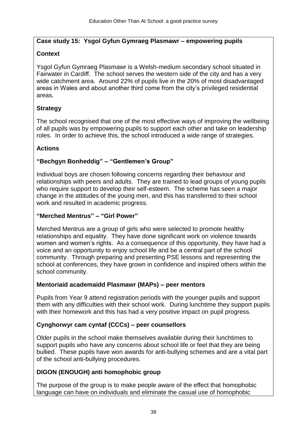### **Case study 15: Ysgol Gyfun Gymraeg Plasmawr – empowering pupils**

### **Context**

Ysgol Gyfun Gymraeg Plasmawr is a Welsh-medium secondary school situated in Fairwater in Cardiff. The school serves the western side of the city and has a very wide catchment area. Around 22% of pupils live in the 20% of most disadvantaged areas in Wales and about another third come from the city's privileged residential areas.

### **Strategy**

The school recognised that one of the most effective ways of improving the wellbeing of all pupils was by empowering pupils to support each other and take on leadership roles. In order to achieve this, the school introduced a wide range of strategies.

## **Actions**

## **"Bechgyn Bonheddig" – "Gentlemen's Group"**

Individual boys are chosen following concerns regarding their behaviour and relationships with peers and adults. They are trained to lead groups of young pupils who require support to develop their self-esteem. The scheme has seen a major change in the attitudes of the young men, and this has transferred to their school work and resulted in academic progress.

### **"Merched Mentrus" – "Girl Power"**

Merched Mentrus are a group of girls who were selected to promote healthy relationships and equality. They have done significant work on violence towards women and women's rights. As a consequence of this opportunity, they have had a voice and an opportunity to enjoy school life and be a central part of the school community. Through preparing and presenting PSE lessons and representing the school at conferences, they have grown in confidence and inspired others within the school community.

### **Mentoriaid academaidd Plasmawr (MAPs) – peer mentors**

Pupils from Year 9 attend registration periods with the younger pupils and support them with any difficulties with their school work. During lunchtime they support pupils with their homework and this has had a very positive impact on pupil progress.

### **Cynghorwyr cam cyntaf (CCCs) – peer counsellors**

Older pupils in the school make themselves available during their lunchtimes to support pupils who have any concerns about school life or feel that they are being bullied. These pupils have won awards for anti-bullying schemes and are a vital part of the school anti-bullying procedures.

## **DIGON (ENOUGH) anti homophobic group**

The purpose of the group is to make people aware of the effect that homophobic language can have on individuals and eliminate the casual use of homophobic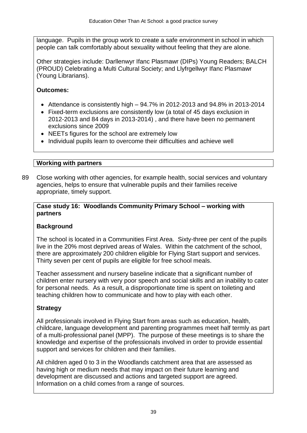language. Pupils in the group work to create a safe environment in school in which people can talk comfortably about sexuality without feeling that they are alone.

Other strategies include: Darllenwyr Ifanc Plasmawr (DIPs) Young Readers; BALCH (PROUD) Celebrating a Multi Cultural Society; and Llyfrgellwyr Ifanc Plasmawr (Young Librarians).

## **Outcomes:**

- $\bullet$  Attendance is consistently high  $-94.7\%$  in 2012-2013 and 94.8% in 2013-2014
- Fixed-term exclusions are consistently low (a total of 45 days exclusion in 2012-2013 and 84 days in 2013-2014) , and there have been no permanent exclusions since 2009
- NEETs figures for the school are extremely low
- Individual pupils learn to overcome their difficulties and achieve well

## **Working with partners**

89 Close working with other agencies, for example health, social services and voluntary agencies, helps to ensure that vulnerable pupils and their families receive appropriate, timely support.

### **Case study 16: Woodlands Community Primary School – working with partners**

## **Background**

The school is located in a Communities First Area. Sixty-three per cent of the pupils live in the 20% most deprived areas of Wales. Within the catchment of the school, there are approximately 200 children eligible for Flying Start support and services. Thirty seven per cent of pupils are eligible for free school meals.

Teacher assessment and nursery baseline indicate that a significant number of children enter nursery with very poor speech and social skills and an inability to cater for personal needs. As a result, a disproportionate time is spent on toileting and teaching children how to communicate and how to play with each other.

## **Strategy**

All professionals involved in Flying Start from areas such as education, health, childcare, language development and parenting programmes meet half termly as part of a multi-professional panel (MPP). The purpose of these meetings is to share the knowledge and expertise of the professionals involved in order to provide essential support and services for children and their families.

All children aged 0 to 3 in the Woodlands catchment area that are assessed as having high or medium needs that may impact on their future learning and development are discussed and actions and targeted support are agreed. Information on a child comes from a range of sources.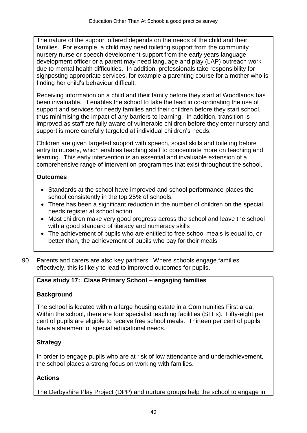The nature of the support offered depends on the needs of the child and their families. For example, a child may need toileting support from the community nursery nurse or speech development support from the early years language development officer or a parent may need language and play (LAP) outreach work due to mental health difficulties. In addition, professionals take responsibility for signposting appropriate services, for example a parenting course for a mother who is finding her child's behaviour difficult.

Receiving information on a child and their family before they start at Woodlands has been invaluable. It enables the school to take the lead in co-ordinating the use of support and services for needy families and their children before they start school, thus minimising the impact of any barriers to learning. In addition, transition is improved as staff are fully aware of vulnerable children before they enter nursery and support is more carefully targeted at individual children's needs.

Children are given targeted support with speech, social skills and toileting before entry to nursery, which enables teaching staff to concentrate more on teaching and learning. This early intervention is an essential and invaluable extension of a comprehensive range of intervention programmes that exist throughout the school.

## **Outcomes**

- Standards at the school have improved and school performance places the school consistently in the top 25% of schools.
- There has been a significant reduction in the number of children on the special needs register at school action.
- Most children make very good progress across the school and leave the school with a good standard of literacy and numeracy skills
- The achievement of pupils who are entitled to free school meals is equal to, or better than, the achievement of pupils who pay for their meals
- 90 Parents and carers are also key partners. Where schools engage families effectively, this is likely to lead to improved outcomes for pupils.

## **Case study 17: Clase Primary School – engaging families**

## **Background**

The school is located within a large housing estate in a Communities First area. Within the school, there are four specialist teaching facilities (STFs). Fifty-eight per cent of pupils are eligible to receive free school meals. Thirteen per cent of pupils have a statement of special educational needs.

## **Strategy**

In order to engage pupils who are at risk of low attendance and underachievement, the school places a strong focus on working with families.

## **Actions**

The Derbyshire Play Project (DPP) and nurture groups help the school to engage in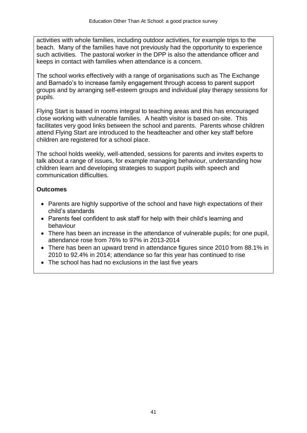activities with whole families, including outdoor activities, for example trips to the beach. Many of the families have not previously had the opportunity to experience such activities. The pastoral worker in the DPP is also the attendance officer and keeps in contact with families when attendance is a concern.

The school works effectively with a range of organisations such as The Exchange and Barnado's to increase family engagement through access to parent support groups and by arranging self-esteem groups and individual play therapy sessions for pupils.

Flying Start is based in rooms integral to teaching areas and this has encouraged close working with vulnerable families. A health visitor is based on-site. This facilitates very good links between the school and parents. Parents whose children attend Flying Start are introduced to the headteacher and other key staff before children are registered for a school place.

The school holds weekly, well-attended, sessions for parents and invites experts to talk about a range of issues, for example managing behaviour, understanding how children learn and developing strategies to support pupils with speech and communication difficulties.

#### **Outcomes**

- Parents are highly supportive of the school and have high expectations of their child's standards
- Parents feel confident to ask staff for help with their child's learning and behaviour
- There has been an increase in the attendance of vulnerable pupils; for one pupil, attendance rose from 76% to 97% in 2013-2014
- There has been an upward trend in attendance figures since 2010 from 88.1% in 2010 to 92.4% in 2014; attendance so far this year has continued to rise
- The school has had no exclusions in the last five years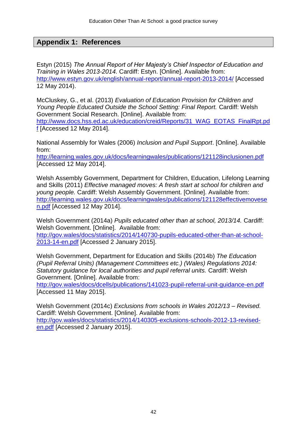## **Appendix 1: References**

Estyn (2015) *The Annual Report of Her Majesty's Chief Inspector of Education and Training in Wales 2013-2014.* Cardiff: Estyn. [Online]. Available from: <http://www.estyn.gov.uk/english/annual-report/annual-report-2013-2014/> [Accessed 12 May 2014).

McCluskey, G., et al. (2013) *Evaluation of Education Provision for Children and Young People Educated Outside the School Setting: Final Report.* Cardiff: Welsh Government Social Research. [Online]. Available from: [http://www.docs.hss.ed.ac.uk/education/creid/Reports/31\\_WAG\\_EOTAS\\_FinalRpt.pd](http://www.docs.hss.ed.ac.uk/education/creid/Reports/31_WAG_EOTAS_FinalRpt.pdf) [f](http://www.docs.hss.ed.ac.uk/education/creid/Reports/31_WAG_EOTAS_FinalRpt.pdf) [Accessed 12 May 2014].

National Assembly for Wales (2006) *Inclusion and Pupil Support*. [Online]. Available from:

<http://learning.wales.gov.uk/docs/learningwales/publications/121128inclusionen.pdf> [Accessed 12 May 2014].

Welsh Assembly Government, Department for Children, Education, Lifelong Learning and Skills (2011) *Effective managed moves: A fresh start at school for children and young people.* Cardiff: Welsh Assembly Government. [Online]. Available from: [http://learning.wales.gov.uk/docs/learningwales/publications/121128effectivemovese](http://learning.wales.gov.uk/docs/learningwales/publications/121128effectivemovesen.pdf) [n.pdf](http://learning.wales.gov.uk/docs/learningwales/publications/121128effectivemovesen.pdf) [Accessed 12 May 2014].

Welsh Government (2014a) *Pupils educated other than at school, 2013/14.* Cardiff: Welsh Government. [Online]. Available from: [http://gov.wales/docs/statistics/2014/140730-pupils-educated-other-than-at-school-](http://gov.wales/docs/statistics/2014/140730-pupils-educated-other-than-at-school-2013-14-en.pdf)[2013-14-en.pdf](http://gov.wales/docs/statistics/2014/140730-pupils-educated-other-than-at-school-2013-14-en.pdf) [Accessed 2 January 2015].

Welsh Government, Department for Education and Skills (2014b) *The Education (Pupil Referral Units) (Management Committees etc.) (Wales) Regulations 2014: Statutory guidance for local authorities and pupil referral units.* Cardiff: Welsh Government. [Online]. Available from:

<http://gov.wales/docs/dcells/publications/141023-pupil-referral-unit-guidance-en.pdf> [Accessed 11 May 2015].

Welsh Government (2014c) *Exclusions from schools in Wales 2012/13 – Revised.*  Cardiff: Welsh Government. [Online]. Available from: [http://gov.wales/docs/statistics/2014/140305-exclusions-schools-2012-13-revised](http://gov.wales/docs/statistics/2014/140305-exclusions-schools-2012-13-revised-en.pdf)[en.pdf](http://gov.wales/docs/statistics/2014/140305-exclusions-schools-2012-13-revised-en.pdf) [Accessed 2 January 2015].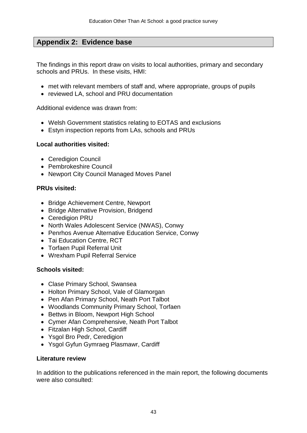## **Appendix 2: Evidence base**

The findings in this report draw on visits to local authorities, primary and secondary schools and PRUs. In these visits, HMI:

- met with relevant members of staff and, where appropriate, groups of pupils
- reviewed LA, school and PRU documentation

Additional evidence was drawn from:

- Welsh Government statistics relating to EOTAS and exclusions
- Estyn inspection reports from LAs, schools and PRUs

#### **Local authorities visited:**

- Ceredigion Council
- Pembrokeshire Council
- Newport City Council Managed Moves Panel

#### **PRUs visited:**

- Bridge Achievement Centre, Newport
- Bridge Alternative Provision, Bridgend
- Ceredigion PRU
- North Wales Adolescent Service (NWAS), Conwy
- Penrhos Avenue Alternative Education Service, Conwy
- Tai Education Centre, RCT
- Torfaen Pupil Referral Unit
- Wrexham Pupil Referral Service

#### **Schools visited:**

- Clase Primary School, Swansea
- Holton Primary School, Vale of Glamorgan
- Pen Afan Primary School, Neath Port Talbot
- Woodlands Community Primary School, Torfaen
- Bettws in Bloom, Newport High School
- Cymer Afan Comprehensive, Neath Port Talbot
- Fitzalan High School, Cardiff
- Ysgol Bro Pedr, Ceredigion
- Ysgol Gyfun Gymraeg Plasmawr, Cardiff

#### **Literature review**

In addition to the publications referenced in the main report, the following documents were also consulted: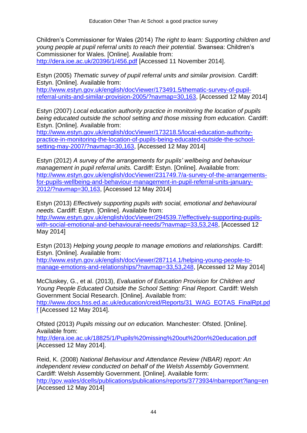Children's Commissioner for Wales (2014) *The right to learn: Supporting children and young people at pupil referral units to reach their potential.* Swansea: Children's Commissioner for Wales. [Online]. Available from: <http://dera.ioe.ac.uk/20396/1/456.pdf> [Accessed 11 November 2014].

Estyn (2005) *Thematic survey of pupil referral units and similar provision.* Cardiff: Estyn. [Online]. Available from:

[http://www.estyn.gov.uk/english/docViewer/173491.5/thematic-survey-of-pupil](http://www.estyn.gov.uk/english/docViewer/173491.5/thematic-survey-of-pupil-referral-units-and-similar-provision-2005/?navmap=30,163)[referral-units-and-similar-provision-2005/?navmap=30,163,](http://www.estyn.gov.uk/english/docViewer/173491.5/thematic-survey-of-pupil-referral-units-and-similar-provision-2005/?navmap=30,163) [Accessed 12 May 2014]

Estyn (2007) *Local education authority practice in monitoring the location of pupils being educated outside the school setting and those missing from education.* Cardiff: Estyn. [Online]. Available from:

[http://www.estyn.gov.uk/english/docViewer/173218.5/local-education-authority](http://www.estyn.gov.uk/english/docViewer/173218.5/local-education-authority-practice-in-monitoring-the-location-of-pupils-being-educated-outside-the-school-setting-may-2007/?navmap=30,163)[practice-in-monitoring-the-location-of-pupils-being-educated-outside-the-school](http://www.estyn.gov.uk/english/docViewer/173218.5/local-education-authority-practice-in-monitoring-the-location-of-pupils-being-educated-outside-the-school-setting-may-2007/?navmap=30,163)[setting-may-2007/?navmap=30,163,](http://www.estyn.gov.uk/english/docViewer/173218.5/local-education-authority-practice-in-monitoring-the-location-of-pupils-being-educated-outside-the-school-setting-may-2007/?navmap=30,163) [Accessed 12 May 2014]

Estyn (2012) *A survey of the arrangements for pupils' wellbeing and behaviour management in pupil referral units.* Cardiff: Estyn. [Online]. Available from: [http://www.estyn.gov.uk/english/docViewer/231749.7/a-survey-of-the-arrangements](http://www.estyn.gov.uk/english/docViewer/231749.7/a-survey-of-the-arrangements-for-pupils-wellbeing-and-behaviour-management-in-pupil-referral-units-january-2012/?navmap=30,163)[for-pupils-wellbeing-and-behaviour-management-in-pupil-referral-units-january-](http://www.estyn.gov.uk/english/docViewer/231749.7/a-survey-of-the-arrangements-for-pupils-wellbeing-and-behaviour-management-in-pupil-referral-units-january-2012/?navmap=30,163)[2012/?navmap=30,163,](http://www.estyn.gov.uk/english/docViewer/231749.7/a-survey-of-the-arrangements-for-pupils-wellbeing-and-behaviour-management-in-pupil-referral-units-january-2012/?navmap=30,163) [Accessed 12 May 2014]

Estyn (2013) *Effectively supporting pupils with social, emotional and behavioural needs.* Cardiff: Estyn. [Online]. Available from: [http://www.estyn.gov.uk/english/docViewer/294539.7/effectively-supporting-pupils](http://www.estyn.gov.uk/english/docViewer/294539.7/effectively-supporting-pupils-with-social-emotional-and-behavioural-needs/?navmap=33,53,248)[with-social-emotional-and-behavioural-needs/?navmap=33,53,248,](http://www.estyn.gov.uk/english/docViewer/294539.7/effectively-supporting-pupils-with-social-emotional-and-behavioural-needs/?navmap=33,53,248) [Accessed 12 May 2014]

Estyn (2013) *Helping young people to manage emotions and relationships.* Cardiff: Estyn. [Online]. Available from:

[http://www.estyn.gov.uk/english/docViewer/287114.1/helping-young-people-to](http://www.estyn.gov.uk/english/docViewer/287114.1/helping-young-people-to-manage-emotions-and-relationships/?navmap=33,53,248)[manage-emotions-and-relationships/?navmap=33,53,248,](http://www.estyn.gov.uk/english/docViewer/287114.1/helping-young-people-to-manage-emotions-and-relationships/?navmap=33,53,248) [Accessed 12 May 2014]

McCluskey, G., et al. (2013), *Evaluation of Education Provision for Children and Young People Educated Outside the School Setting: Final Report.* Cardiff: Welsh Government Social Research. [Online]. Available from: [http://www.docs.hss.ed.ac.uk/education/creid/Reports/31\\_WAG\\_EOTAS\\_FinalRpt.pd](http://www.docs.hss.ed.ac.uk/education/creid/Reports/31_WAG_EOTAS_FinalRpt.pdf) [f](http://www.docs.hss.ed.ac.uk/education/creid/Reports/31_WAG_EOTAS_FinalRpt.pdf) [Accessed 12 May 2014].

Ofsted (2013) *Pupils missing out on education.* Manchester: Ofsted. [Online]. Available from: <http://dera.ioe.ac.uk/18825/1/Pupils%20missing%20out%20on%20education.pdf> [Accessed 12 May 2014].

Reid, K. (2008) *National Behaviour and Attendance Review (NBAR) report: An independent review conducted on behalf of the Welsh Assembly Government.* Cardiff: Welsh Assembly Government. [Online]. Available form: <http://gov.wales/dcells/publications/publications/reports/3773934/nbarreport?lang=en> [Accessed 12 May 2014]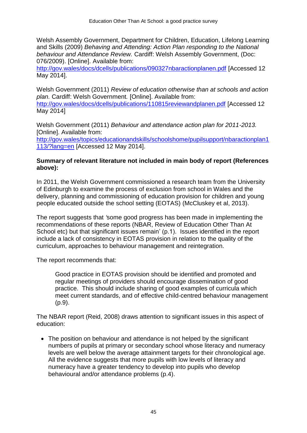Welsh Assembly Government, Department for Children, Education, Lifelong Learning and Skills (2009) *Behaving and Attending: Action Plan responding to the National behaviour and Attendance Review.* Cardiff: Welsh Assembly Government, (Doc: 076/2009). [Online]. Available from:

<http://gov.wales/docs/dcells/publications/090327nbaractionplanen.pdf> [Accessed 12 May 2014].

Welsh Government (2011) *Review of education otherwise than at schools and action plan.* Cardiff: Welsh Government*.* [Online]. Available from: <http://gov.wales/docs/dcells/publications/110815reviewandplanen.pdf> [Accessed 12 May 2014]

Welsh Government (2011) *Behaviour and attendance action plan for 2011-2013.*  [Online]. Available from: [http://gov.wales/topics/educationandskills/schoolshome/pupilsupport/nbaractionplan1](http://gov.wales/topics/educationandskills/schoolshome/pupilsupport/nbaractionplan1113/?lang=en) [113/?lang=en](http://gov.wales/topics/educationandskills/schoolshome/pupilsupport/nbaractionplan1113/?lang=en) [Accessed 12 May 2014].

#### **Summary of relevant literature not included in main body of report (References above):**

In 2011, the Welsh Government commissioned a research team from the University of Edinburgh to examine the process of exclusion from school in Wales and the delivery, planning and commissioning of education provision for children and young people educated outside the school setting (EOTAS) (McCluskey et al, 2013).

The report suggests that *'*some good progress has been made in implementing the recommendations of these reports (NBAR, Review of Education Other Than At School etc) but that significant issues remain' (p.1). Issues identified in the report include a lack of consistency in EOTAS provision in relation to the quality of the curriculum, approaches to behaviour management and reintegration.

The report recommends that:

Good practice in EOTAS provision should be identified and promoted and regular meetings of providers should encourage dissemination of good practice. This should include sharing of good examples of curricula which meet current standards, and of effective child-centred behaviour management (p.9).

The NBAR report (Reid, 2008) draws attention to significant issues in this aspect of education:

• The position on behaviour and attendance is not helped by the significant numbers of pupils at primary or secondary school whose literacy and numeracy levels are well below the average attainment targets for their chronological age. All the evidence suggests that more pupils with low levels of literacy and numeracy have a greater tendency to develop into pupils who develop behavioural and/or attendance problems (p.4).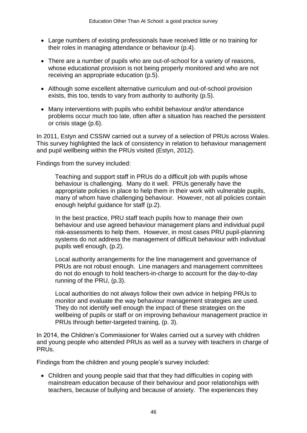- Large numbers of existing professionals have received little or no training for their roles in managing attendance or behaviour (p.4).
- There are a number of pupils who are out-of-school for a variety of reasons, whose educational provision is not being properly monitored and who are not receiving an appropriate education (p.5).
- Although some excellent alternative curriculum and out-of-school provision exists, this too, tends to vary from authority to authority (p.5).
- Many interventions with pupils who exhibit behaviour and/or attendance problems occur much too late, often after a situation has reached the persistent or crisis stage (p.6).

In 2011, Estyn and CSSIW carried out a survey of a selection of PRUs across Wales. This survey highlighted the lack of consistency in relation to behaviour management and pupil wellbeing within the PRUs visited (Estyn, 2012).

Findings from the survey included:

Teaching and support staff in PRUs do a difficult job with pupils whose behaviour is challenging. Many do it well. PRUs generally have the appropriate policies in place to help them in their work with vulnerable pupils, many of whom have challenging behaviour. However, not all policies contain enough helpful guidance for staff (p.2).

In the best practice, PRU staff teach pupils how to manage their own behaviour and use agreed behaviour management plans and individual pupil risk-assessments to help them. However, in most cases PRU pupil-planning systems do not address the management of difficult behaviour with individual pupils well enough, (p.2).

Local authority arrangements for the line management and governance of PRUs are not robust enough. Line managers and management committees do not do enough to hold teachers-in-charge to account for the day-to-day running of the PRU, (p.3).

Local authorities do not always follow their own advice in helping PRUs to monitor and evaluate the way behaviour management strategies are used. They do not identify well enough the impact of these strategies on the wellbeing of pupils or staff or on improving behaviour management practice in PRUs through better-targeted training, (p. 3).

In 2014, the Children's Commissioner for Wales carried out a survey with children and young people who attended PRUs as well as a survey with teachers in charge of PRUs.

Findings from the children and young people's survey included:

 Children and young people said that that they had difficulties in coping with mainstream education because of their behaviour and poor relationships with teachers, because of bullying and because of anxiety. The experiences they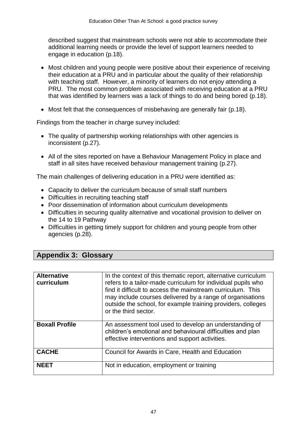described suggest that mainstream schools were not able to accommodate their additional learning needs or provide the level of support learners needed to engage in education (p.18).

- Most children and young people were positive about their experience of receiving their education at a PRU and in particular about the quality of their relationship with teaching staff. However, a minority of learners do not enjoy attending a PRU. The most common problem associated with receiving education at a PRU that was identified by learners was a lack of things to do and being bored (p.18).
- Most felt that the consequences of misbehaving are generally fair (p.18).

Findings from the teacher in charge survey included:

- The quality of partnership working relationships with other agencies is inconsistent (p.27).
- All of the sites reported on have a Behaviour Management Policy in place and staff in all sites have received behaviour management training (p.27).

The main challenges of delivering education in a PRU were identified as:

- Capacity to deliver the curriculum because of small staff numbers
- Difficulties in recruiting teaching staff
- Poor dissemination of information about curriculum developments
- Difficulties in securing quality alternative and vocational provision to deliver on the 14 to 19 Pathway
- Difficulties in getting timely support for children and young people from other agencies (p.28).

## **Appendix 3: Glossary**

| <b>Alternative</b><br>curriculum | In the context of this thematic report, alternative curriculum<br>refers to a tailor-made curriculum for individual pupils who<br>find it difficult to access the mainstream curriculum. This<br>may include courses delivered by a range of organisations<br>outside the school, for example training providers, colleges<br>or the third sector. |
|----------------------------------|----------------------------------------------------------------------------------------------------------------------------------------------------------------------------------------------------------------------------------------------------------------------------------------------------------------------------------------------------|
| <b>Boxall Profile</b>            | An assessment tool used to develop an understanding of<br>children's emotional and behavioural difficulties and plan<br>effective interventions and support activities.                                                                                                                                                                            |
| <b>CACHE</b>                     | Council for Awards in Care, Health and Education                                                                                                                                                                                                                                                                                                   |
| <b>NFFT</b>                      | Not in education, employment or training                                                                                                                                                                                                                                                                                                           |